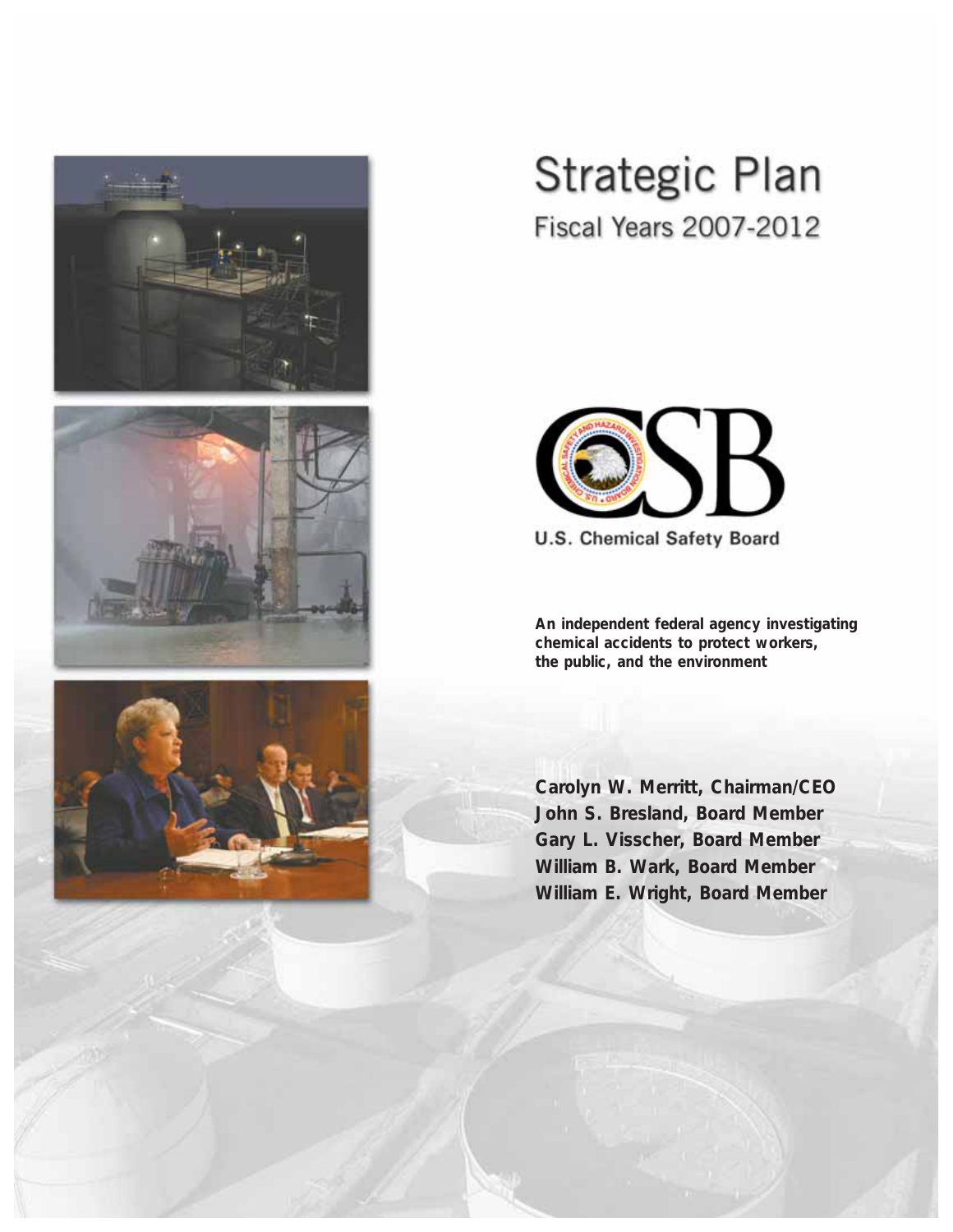





## **Strategic Plan**

**Fiscal Years 2007-2012** 



**U.S. Chemical Safety Board** 

**An independent federal agency investigating chemical accidents to protect workers, the public, and the environment**

**Carolyn W. Merritt, Chairman/CEO John S. Bresland, Board Member Gary L. Visscher, Board Member William B. Wark, Board Member William E. Wright, Board Member**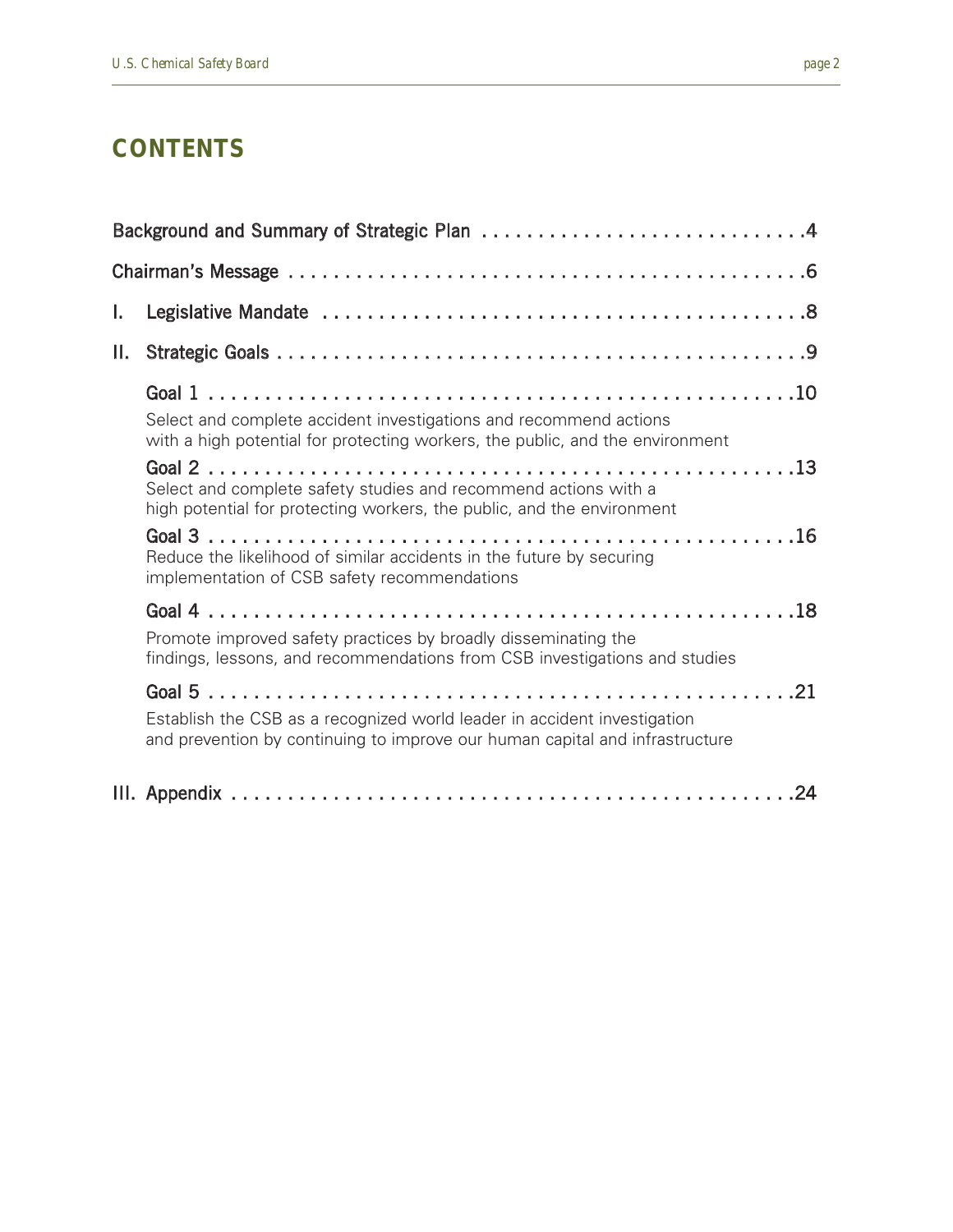#### **CONTENTS**

| I. |                                                                                                                                                                                                                                                                   |
|----|-------------------------------------------------------------------------------------------------------------------------------------------------------------------------------------------------------------------------------------------------------------------|
| П. |                                                                                                                                                                                                                                                                   |
|    | Select and complete accident investigations and recommend actions<br>with a high potential for protecting workers, the public, and the environment                                                                                                                |
|    | Select and complete safety studies and recommend actions with a<br>high potential for protecting workers, the public, and the environment<br>Reduce the likelihood of similar accidents in the future by securing<br>implementation of CSB safety recommendations |
|    | Promote improved safety practices by broadly disseminating the<br>findings, lessons, and recommendations from CSB investigations and studies                                                                                                                      |
|    | Establish the CSB as a recognized world leader in accident investigation<br>and prevention by continuing to improve our human capital and infrastructure                                                                                                          |
|    |                                                                                                                                                                                                                                                                   |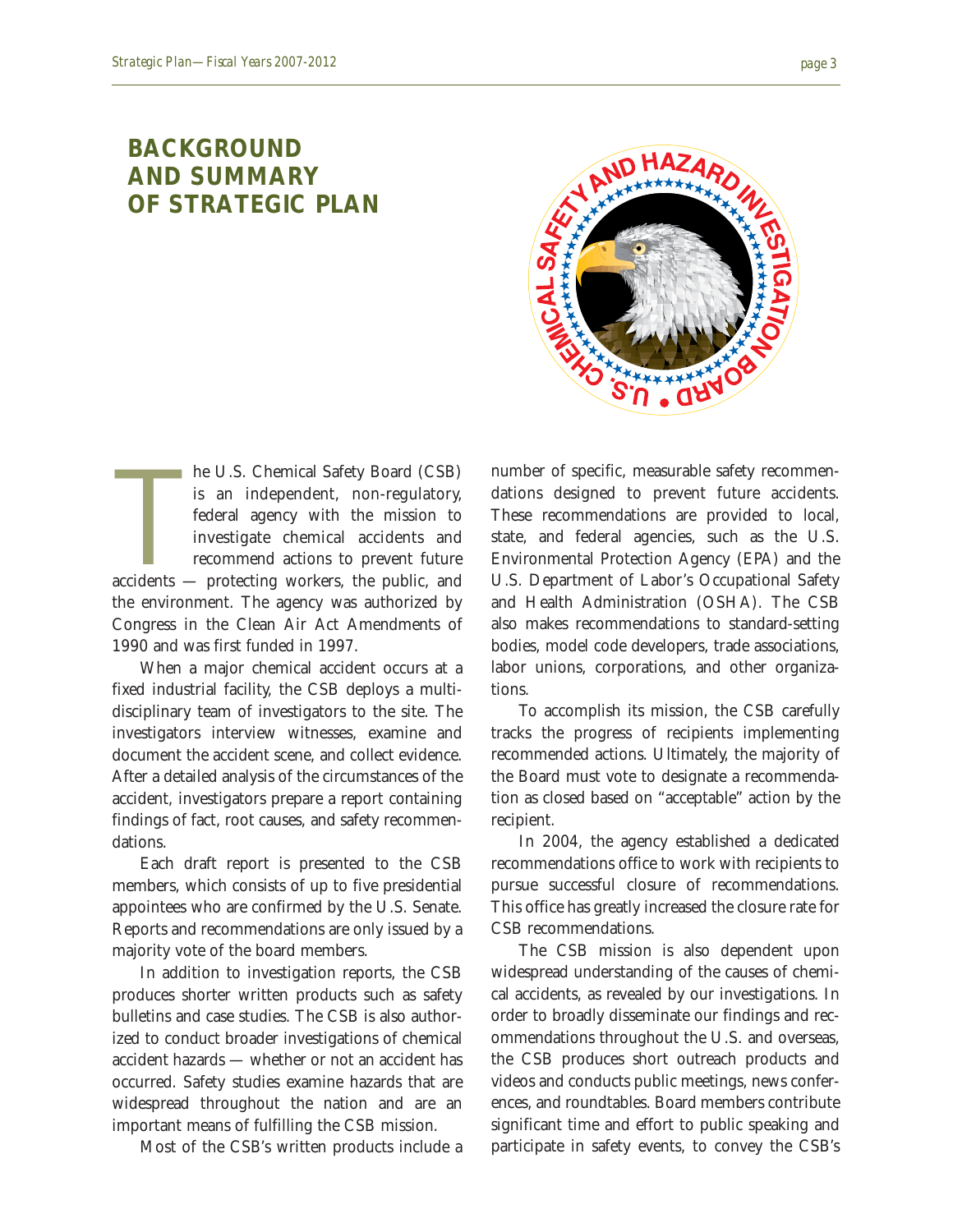#### **BACKGROUND AND SUMMARY OF STRATEGIC PLAN**



he U.S. Chemical Safety Board (CSB)<br>is an independent, non-regulatory,<br>federal agency with the mission to<br>investigate chemical accidents and<br>recommend actions to prevent future<br>accidents — protecting workers, the public, a he U.S. Chemical Safety Board (CSB) is an independent, non-regulatory, federal agency with the mission to investigate chemical accidents and recommend actions to prevent future the environment. The agency was authorized by Congress in the Clean Air Act Amendments of 1990 and was first funded in 1997.

When a major chemical accident occurs at a fixed industrial facility, the CSB deploys a multidisciplinary team of investigators to the site. The investigators interview witnesses, examine and document the accident scene, and collect evidence. After a detailed analysis of the circumstances of the accident, investigators prepare a report containing findings of fact, root causes, and safety recommendations.

Each draft report is presented to the CSB members, which consists of up to five presidential appointees who are confirmed by the U.S. Senate. Reports and recommendations are only issued by a majority vote of the board members.

In addition to investigation reports, the CSB produces shorter written products such as safety bulletins and case studies. The CSB is also authorized to conduct broader investigations of chemical accident hazards — whether or not an accident has occurred. Safety studies examine hazards that are widespread throughout the nation and are an important means of fulfilling the CSB mission.

Most of the CSB's written products include a

number of specific, measurable safety recommendations designed to prevent future accidents. These recommendations are provided to local, state, and federal agencies, such as the U.S. Environmental Protection Agency (EPA) and the U.S. Department of Labor's Occupational Safety and Health Administration (OSHA). The CSB also makes recommendations to standard-setting bodies, model code developers, trade associations, labor unions, corporations, and other organizations.

To accomplish its mission, the CSB carefully tracks the progress of recipients implementing recommended actions. Ultimately, the majority of the Board must vote to designate a recommendation as closed based on "acceptable" action by the recipient.

In 2004, the agency established a dedicated recommendations office to work with recipients to pursue successful closure of recommendations. This office has greatly increased the closure rate for CSB recommendations.

The CSB mission is also dependent upon widespread understanding of the causes of chemical accidents, as revealed by our investigations. In order to broadly disseminate our findings and recommendations throughout the U.S. and overseas, the CSB produces short outreach products and videos and conducts public meetings, news conferences, and roundtables. Board members contribute significant time and effort to public speaking and participate in safety events, to convey the CSB's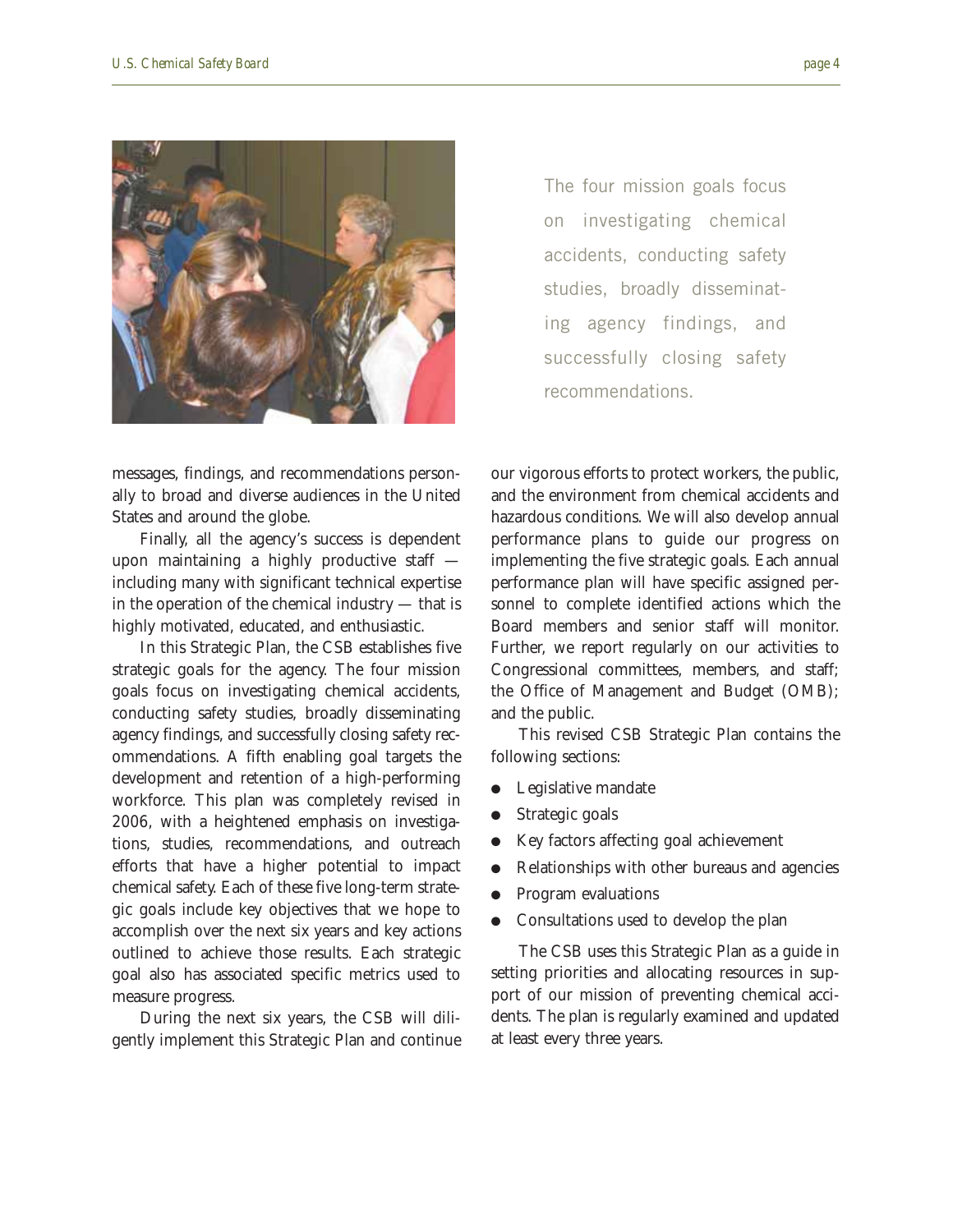

The four mission goals focus on investigating chemical accidents, conducting safety studies, broadly disseminating agency findings, and successfully closing safety recommendations.

messages, findings, and recommendations personally to broad and diverse audiences in the United States and around the globe.

Finally, all the agency's success is dependent upon maintaining a highly productive staff including many with significant technical expertise in the operation of the chemical industry — that is highly motivated, educated, and enthusiastic.

In this Strategic Plan, the CSB establishes five strategic goals for the agency. The four mission goals focus on investigating chemical accidents, conducting safety studies, broadly disseminating agency findings, and successfully closing safety recommendations. A fifth enabling goal targets the development and retention of a high-performing workforce. This plan was completely revised in 2006, with a heightened emphasis on investigations, studies, recommendations, and outreach efforts that have a higher potential to impact chemical safety. Each of these five long-term strategic goals include key objectives that we hope to accomplish over the next six years and key actions outlined to achieve those results. Each strategic goal also has associated specific metrics used to measure progress.

During the next six years, the CSB will diligently implement this Strategic Plan and continue our vigorous efforts to protect workers, the public, and the environment from chemical accidents and hazardous conditions. We will also develop annual performance plans to guide our progress on implementing the five strategic goals. Each annual performance plan will have specific assigned personnel to complete identified actions which the Board members and senior staff will monitor. Further, we report regularly on our activities to Congressional committees, members, and staff; the Office of Management and Budget (OMB); and the public.

This revised CSB Strategic Plan contains the following sections:

- Legislative mandate
- Strategic goals
- Key factors affecting goal achievement
- Relationships with other bureaus and agencies
- Program evaluations
- Consultations used to develop the plan

The CSB uses this Strategic Plan as a guide in setting priorities and allocating resources in support of our mission of preventing chemical accidents. The plan is regularly examined and updated at least every three years.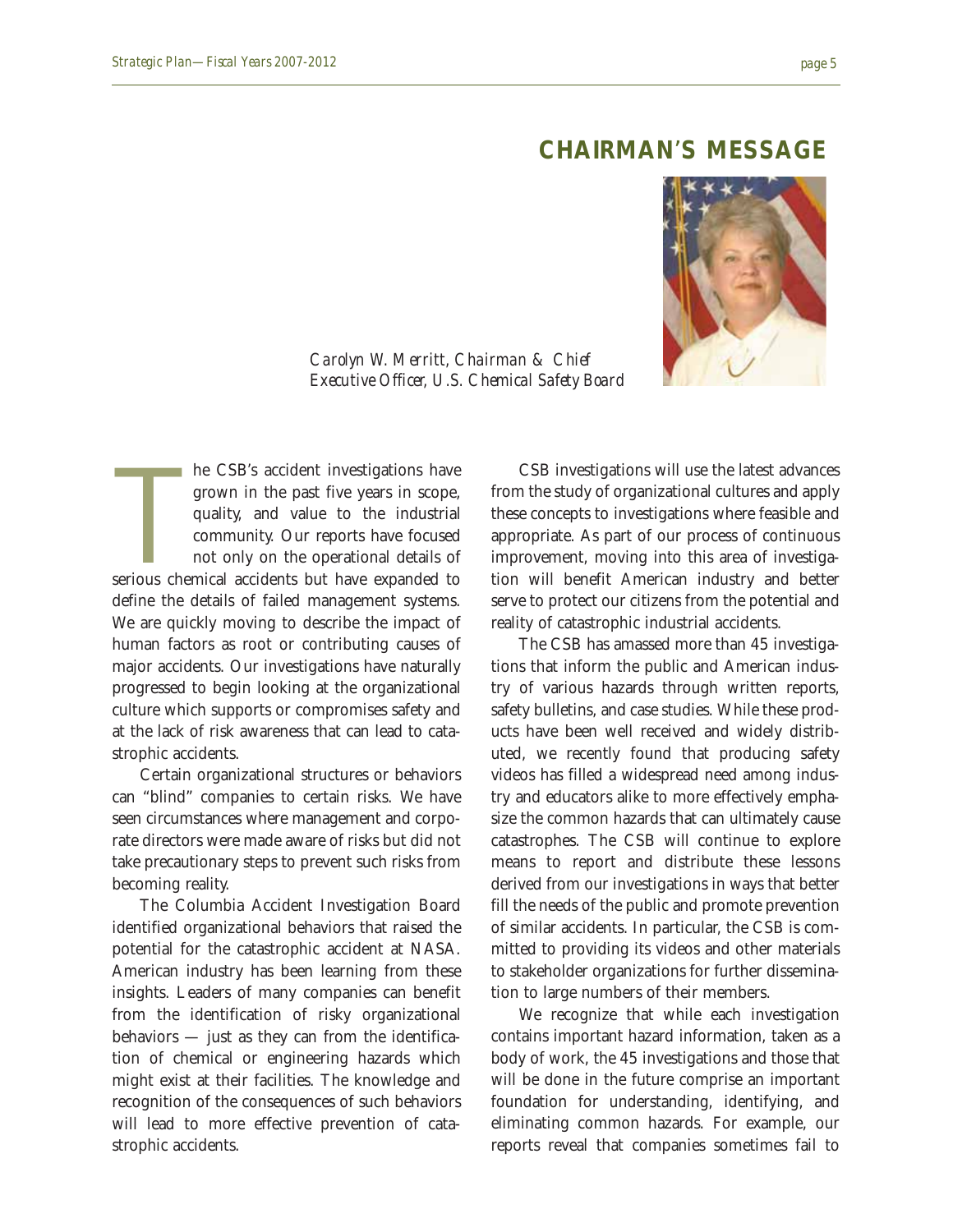#### **CHAIRMAN**'**S MESSAGE**

*Carolyn W. Merritt, Chairman & Chief Executive Officer, U.S. Chemical Safety Board*



he CSB's accident investigations have grown in the past five years in scope, quality, and value to the industrial community. Our reports have focused not only on the operational details of serious chemical accidents but ha he CSB's accident investigations have grown in the past five years in scope, quality, and value to the industrial community. Our reports have focused not only on the operational details of define the details of failed management systems. We are quickly moving to describe the impact of human factors as root or contributing causes of major accidents. Our investigations have naturally progressed to begin looking at the organizational culture which supports or compromises safety and at the lack of risk awareness that can lead to catastrophic accidents.

Certain organizational structures or behaviors can "blind" companies to certain risks. We have seen circumstances where management and corporate directors were made aware of risks but did not take precautionary steps to prevent such risks from becoming reality.

The Columbia Accident Investigation Board identified organizational behaviors that raised the potential for the catastrophic accident at NASA. American industry has been learning from these insights. Leaders of many companies can benefit from the identification of risky organizational behaviors — just as they can from the identification of chemical or engineering hazards which might exist at their facilities. The knowledge and recognition of the consequences of such behaviors will lead to more effective prevention of catastrophic accidents.

CSB investigations will use the latest advances from the study of organizational cultures and apply these concepts to investigations where feasible and appropriate. As part of our process of continuous improvement, moving into this area of investigation will benefit American industry and better serve to protect our citizens from the potential and reality of catastrophic industrial accidents.

The CSB has amassed more than 45 investigations that inform the public and American industry of various hazards through written reports, safety bulletins, and case studies. While these products have been well received and widely distributed, we recently found that producing safety videos has filled a widespread need among industry and educators alike to more effectively emphasize the common hazards that can ultimately cause catastrophes. The CSB will continue to explore means to report and distribute these lessons derived from our investigations in ways that better fill the needs of the public and promote prevention of similar accidents. In particular, the CSB is committed to providing its videos and other materials to stakeholder organizations for further dissemination to large numbers of their members.

We recognize that while each investigation contains important hazard information, taken as a body of work, the 45 investigations and those that will be done in the future comprise an important foundation for understanding, identifying, and eliminating common hazards. For example, our reports reveal that companies sometimes fail to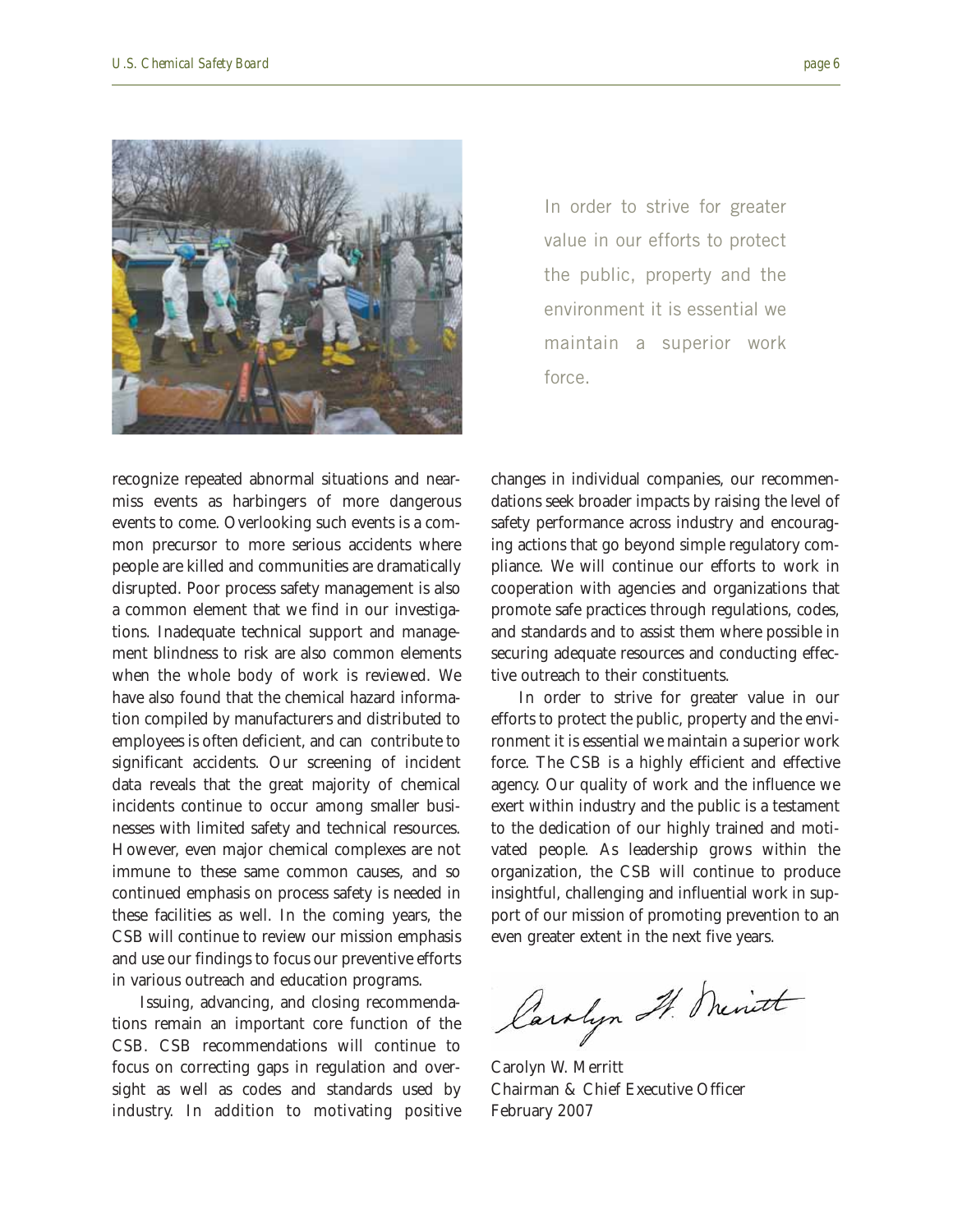

In order to strive for greater value in our efforts to protect the public, property and the environment it is essential we maintain a superior work force.

recognize repeated abnormal situations and nearmiss events as harbingers of more dangerous events to come. Overlooking such events is a common precursor to more serious accidents where people are killed and communities are dramatically disrupted. Poor process safety management is also a common element that we find in our investigations. Inadequate technical support and management blindness to risk are also common elements when the whole body of work is reviewed. We have also found that the chemical hazard information compiled by manufacturers and distributed to employees is often deficient, and can contribute to significant accidents. Our screening of incident data reveals that the great majority of chemical incidents continue to occur among smaller businesses with limited safety and technical resources. However, even major chemical complexes are not immune to these same common causes, and so continued emphasis on process safety is needed in these facilities as well. In the coming years, the CSB will continue to review our mission emphasis and use our findings to focus our preventive efforts in various outreach and education programs.

Issuing, advancing, and closing recommendations remain an important core function of the CSB. CSB recommendations will continue to focus on correcting gaps in regulation and oversight as well as codes and standards used by industry. In addition to motivating positive

changes in individual companies, our recommendations seek broader impacts by raising the level of safety performance across industry and encouraging actions that go beyond simple regulatory compliance. We will continue our efforts to work in cooperation with agencies and organizations that promote safe practices through regulations, codes, and standards and to assist them where possible in securing adequate resources and conducting effective outreach to their constituents.

In order to strive for greater value in our efforts to protect the public, property and the environment it is essential we maintain a superior work force. The CSB is a highly efficient and effective agency. Our quality of work and the influence we exert within industry and the public is a testament to the dedication of our highly trained and motivated people. As leadership grows within the organization, the CSB will continue to produce insightful, challenging and influential work in support of our mission of promoting prevention to an even greater extent in the next five years.

Carolyn It. Meritt

Carolyn W. Merritt Chairman & Chief Executive Officer February 2007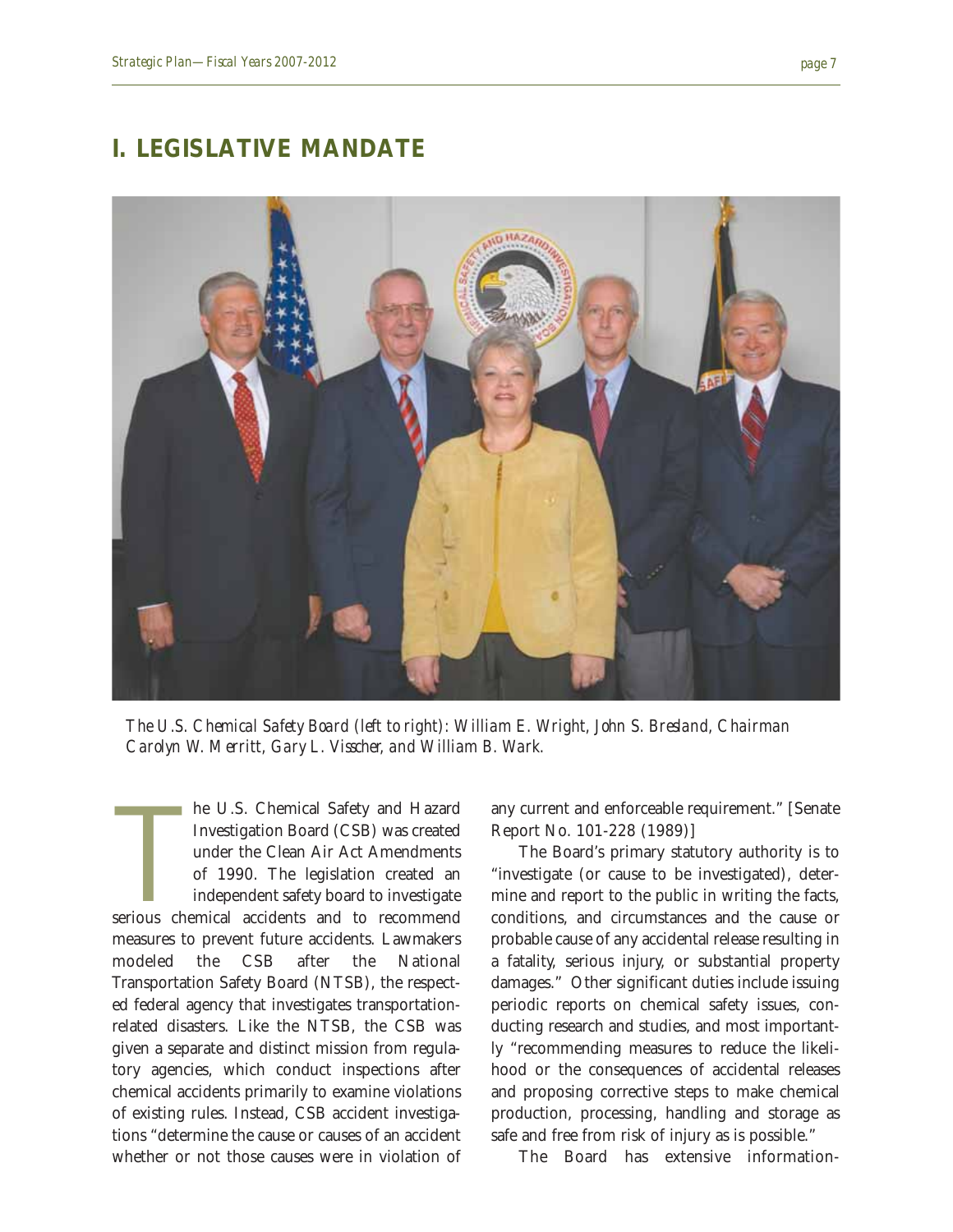#### **I. LEGISLATIVE MANDATE**



*The U.S. Chemical Safety Board (left to right): William E. Wright, John S. Bresland, Chairman Carolyn W. Merritt, Gary L. Visscher, and William B. Wark.*

he U.S. Chemical Safety and Hazard<br>Investigation Board (CSB) was created<br>under the Clean Air Act Amendments<br>of 1990. The legislation created an<br>independent safety board to investigate<br>serious chemical accidents and to reco he U.S. Chemical Safety and Hazard Investigation Board (CSB) was created under the Clean Air Act Amendments of 1990. The legislation created an independent safety board to investigate measures to prevent future accidents. Lawmakers modeled the CSB after the National Transportation Safety Board (NTSB), the respected federal agency that investigates transportationrelated disasters. Like the NTSB, the CSB was given a separate and distinct mission from regulatory agencies, which conduct inspections after chemical accidents primarily to examine violations of existing rules. Instead, CSB accident investigations "determine the cause or causes of an accident whether or not those causes were in violation of

any current and enforceable requirement." [Senate Report No. 101-228 (1989)]

The Board's primary statutory authority is to "investigate (or cause to be investigated), determine and report to the public in writing the facts, conditions, and circumstances and the cause or probable cause of any accidental release resulting in a fatality, serious injury, or substantial property damages." Other significant duties include issuing periodic reports on chemical safety issues, conducting research and studies, and most importantly "recommending measures to reduce the likelihood or the consequences of accidental releases and proposing corrective steps to make chemical production, processing, handling and storage as safe and free from risk of injury as is possible."

The Board has extensive information-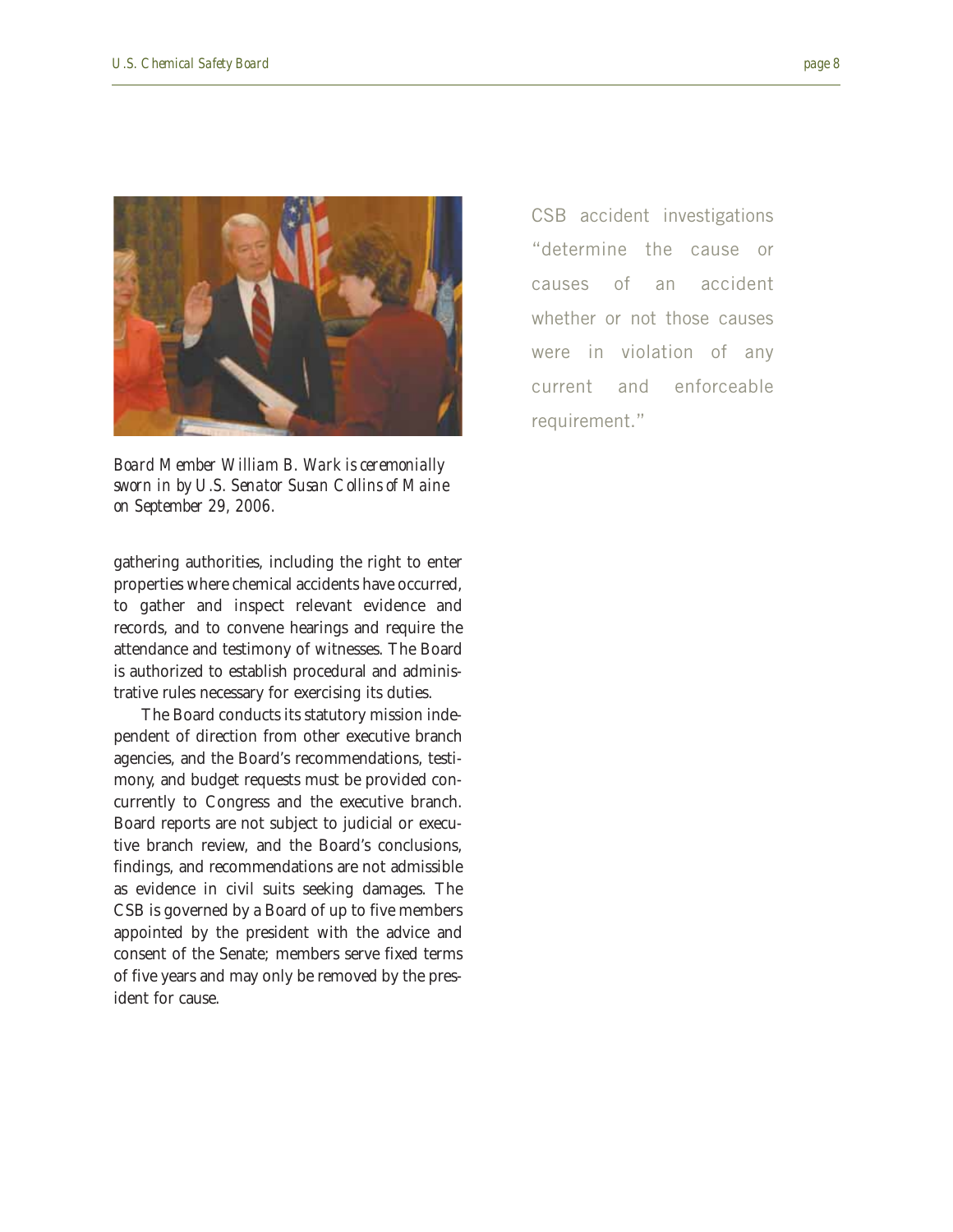



*Board Member William B. Wark is ceremonially sworn in by U.S. Senator Susan Collins of Maine on September 29, 2006.*

gathering authorities, including the right to enter properties where chemical accidents have occurred, to gather and inspect relevant evidence and records, and to convene hearings and require the attendance and testimony of witnesses. The Board is authorized to establish procedural and administrative rules necessary for exercising its duties.

The Board conducts its statutory mission independent of direction from other executive branch agencies, and the Board's recommendations, testimony, and budget requests must be provided concurrently to Congress and the executive branch. Board reports are not subject to judicial or executive branch review, and the Board's conclusions, findings, and recommendations are not admissible as evidence in civil suits seeking damages. The CSB is governed by a Board of up to five members appointed by the president with the advice and consent of the Senate; members serve fixed terms of five years and may only be removed by the president for cause.

CSB accident investigations "determine the cause or causes of an accident whether or not those causes were in violation of any current and enforceable requirement."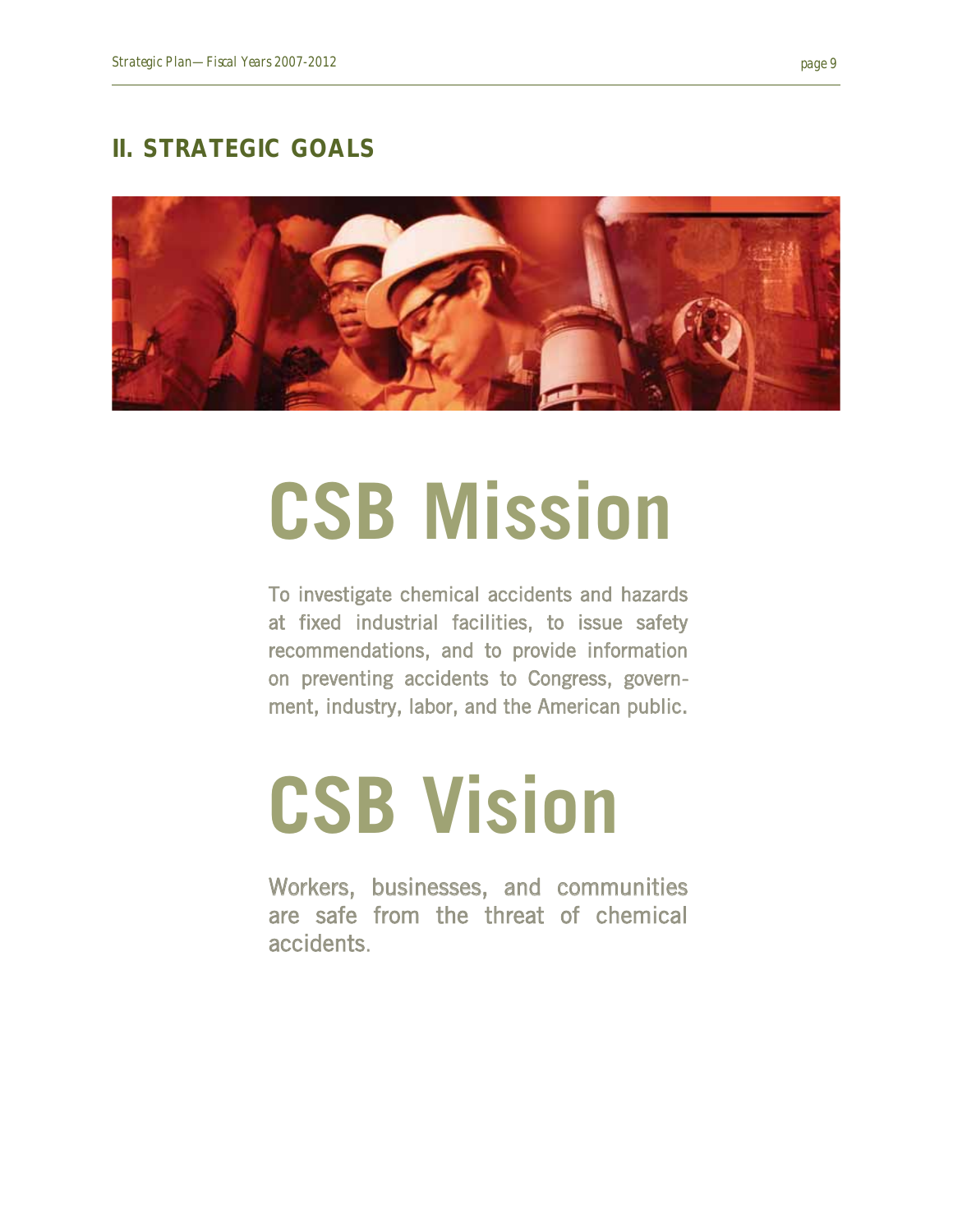#### **II. STRATEGIC GOALS**



## **CSB Mission**

To investigate chemical accidents and hazards at fixed industrial facilities, to issue safety recommendations, and to provide information on preventing accidents to Congress, government, industry, labor, and the American public.

## **CSB Vision**

Workers, businesses, and communities are safe from the threat of chemical accidents.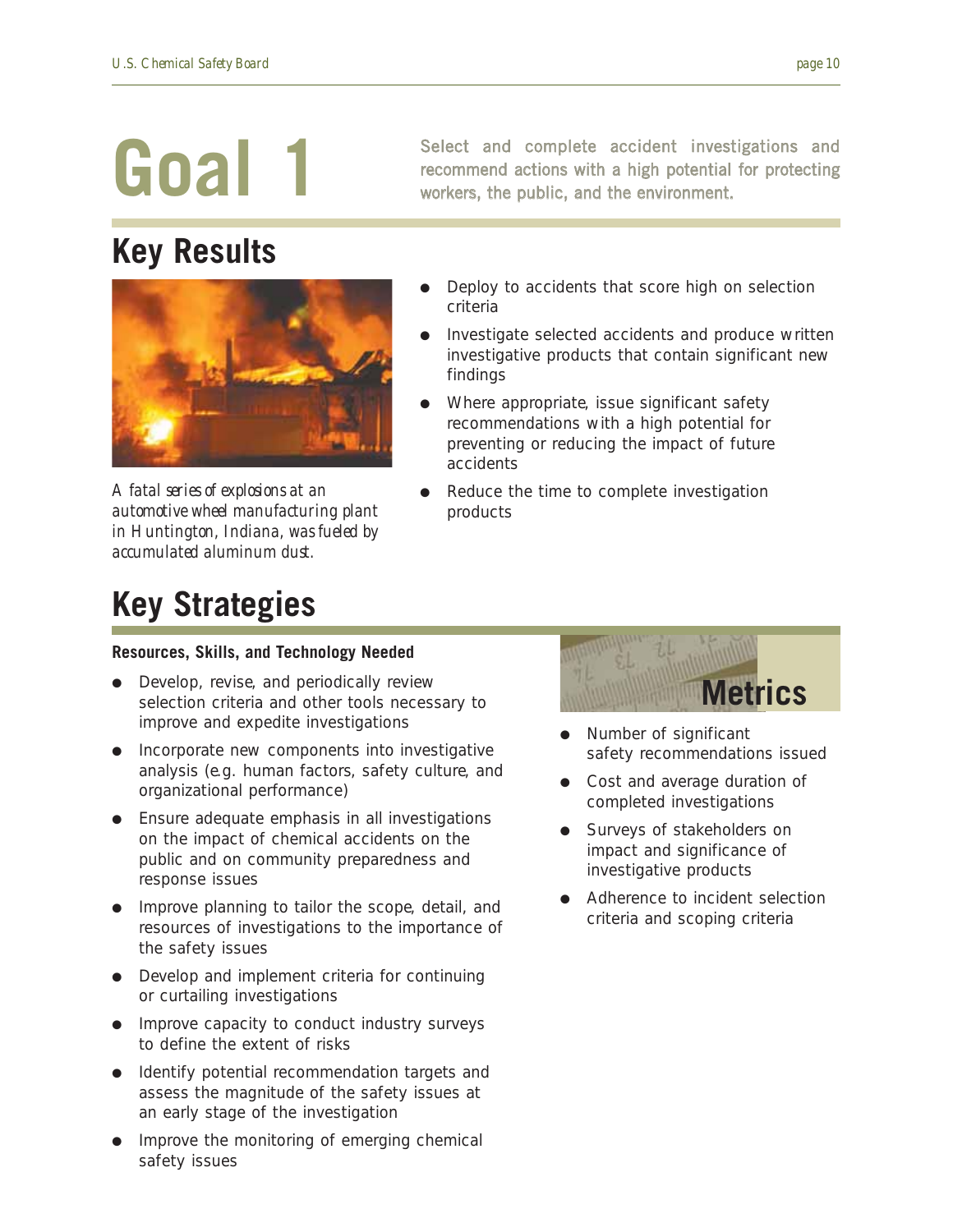## **Key Results**



*A fatal series of explosions at an automotive wheel manufacturing plant in Huntington, Indiana, was fueled by accumulated aluminum dust.*

## **Key Strategies**

Select and complete accident investigations and recommend actions with a high potential for protecting workers, the public, and the environment.

- Deploy to accidents that score high on selection criteria
- Investigate selected accidents and produce written investigative products that contain significant new findings
- Where appropriate, issue significant safety recommendations with a high potential for preventing or reducing the impact of future accidents
- Reduce the time to complete investigation products

#### **Resources, Skills, and Technology Needed**

- Develop, revise, and periodically review selection criteria and other tools necessary to improve and expedite investigations
- Incorporate new components into investigative analysis (e.g. human factors, safety culture, and organizational performance)
- Ensure adequate emphasis in all investigations on the impact of chemical accidents on the public and on community preparedness and response issues
- Improve planning to tailor the scope, detail, and resources of investigations to the importance of the safety issues
- Develop and implement criteria for continuing or curtailing investigations
- Improve capacity to conduct industry surveys to define the extent of risks
- Identify potential recommendation targets and assess the magnitude of the safety issues at an early stage of the investigation
- Improve the monitoring of emerging chemical safety issues



- Number of significant safety recommendations issued
- Cost and average duration of completed investigations
- Surveys of stakeholders on impact and significance of investigative products
- Adherence to incident selection criteria and scoping criteria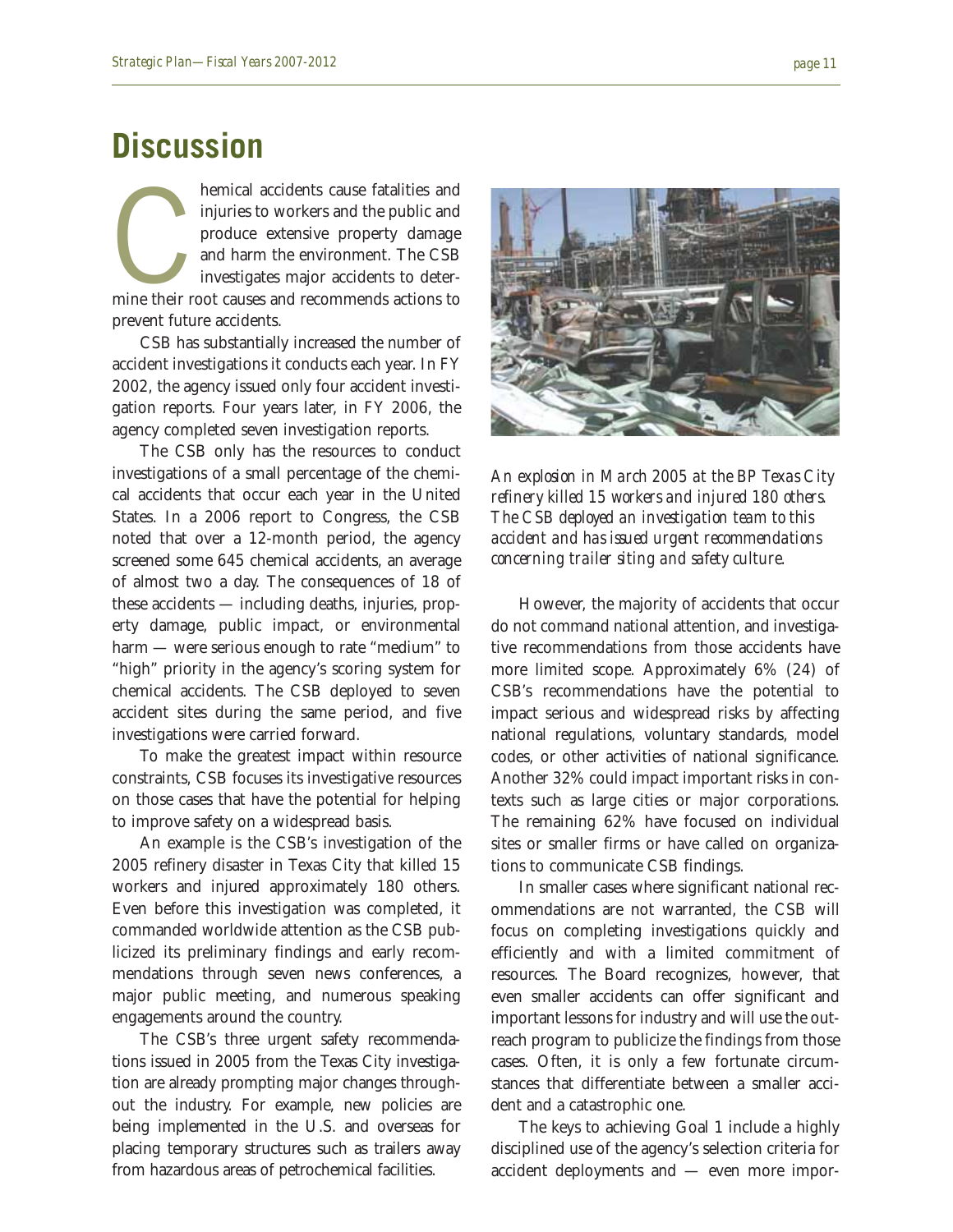### **Discussion**

hemical accidents cause fatalities and<br>injuries to workers and the public and<br>produce extensive property damage<br>and harm the environment. The CSB<br>investigates major accidents to deter-<br>mine their root causes and recommends injuries to workers and the public and produce extensive property damage and harm the environment. The CSB investigates major accidents to deterprevent future accidents.

CSB has substantially increased the number of accident investigations it conducts each year. In FY 2002, the agency issued only four accident investigation reports. Four years later, in FY 2006, the agency completed seven investigation reports.

The CSB only has the resources to conduct investigations of a small percentage of the chemical accidents that occur each year in the United States. In a 2006 report to Congress, the CSB noted that over a 12-month period, the agency screened some 645 chemical accidents, an average of almost two a day. The consequences of 18 of these accidents — including deaths, injuries, property damage, public impact, or environmental harm — were serious enough to rate "medium" to "high" priority in the agency's scoring system for chemical accidents. The CSB deployed to seven accident sites during the same period, and five investigations were carried forward.

To make the greatest impact within resource constraints, CSB focuses its investigative resources on those cases that have the potential for helping to improve safety on a widespread basis.

An example is the CSB's investigation of the 2005 refinery disaster in Texas City that killed 15 workers and injured approximately 180 others. Even before this investigation was completed, it commanded worldwide attention as the CSB publicized its preliminary findings and early recommendations through seven news conferences, a major public meeting, and numerous speaking engagements around the country.

The CSB's three urgent safety recommendations issued in 2005 from the Texas City investigation are already prompting major changes throughout the industry. For example, new policies are being implemented in the U.S. and overseas for placing temporary structures such as trailers away from hazardous areas of petrochemical facilities.



*An explosion in March 2005 at the BP Texas City refinery killed 15 workers and injured 180 others. The CSB deployed an investigation team to this accident and has issued urgent recommendations concerning trailer siting and safety culture.*

However, the majority of accidents that occur do not command national attention, and investigative recommendations from those accidents have more limited scope. Approximately 6% (24) of CSB's recommendations have the potential to impact serious and widespread risks by affecting national regulations, voluntary standards, model codes, or other activities of national significance. Another 32% could impact important risks in contexts such as large cities or major corporations. The remaining 62% have focused on individual sites or smaller firms or have called on organizations to communicate CSB findings.

In smaller cases where significant national recommendations are not warranted, the CSB will focus on completing investigations quickly and efficiently and with a limited commitment of resources. The Board recognizes, however, that even smaller accidents can offer significant and important lessons for industry and will use the outreach program to publicize the findings from those cases. Often, it is only a few fortunate circumstances that differentiate between a smaller accident and a catastrophic one.

The keys to achieving Goal 1 include a highly disciplined use of the agency's selection criteria for accident deployments and — even more impor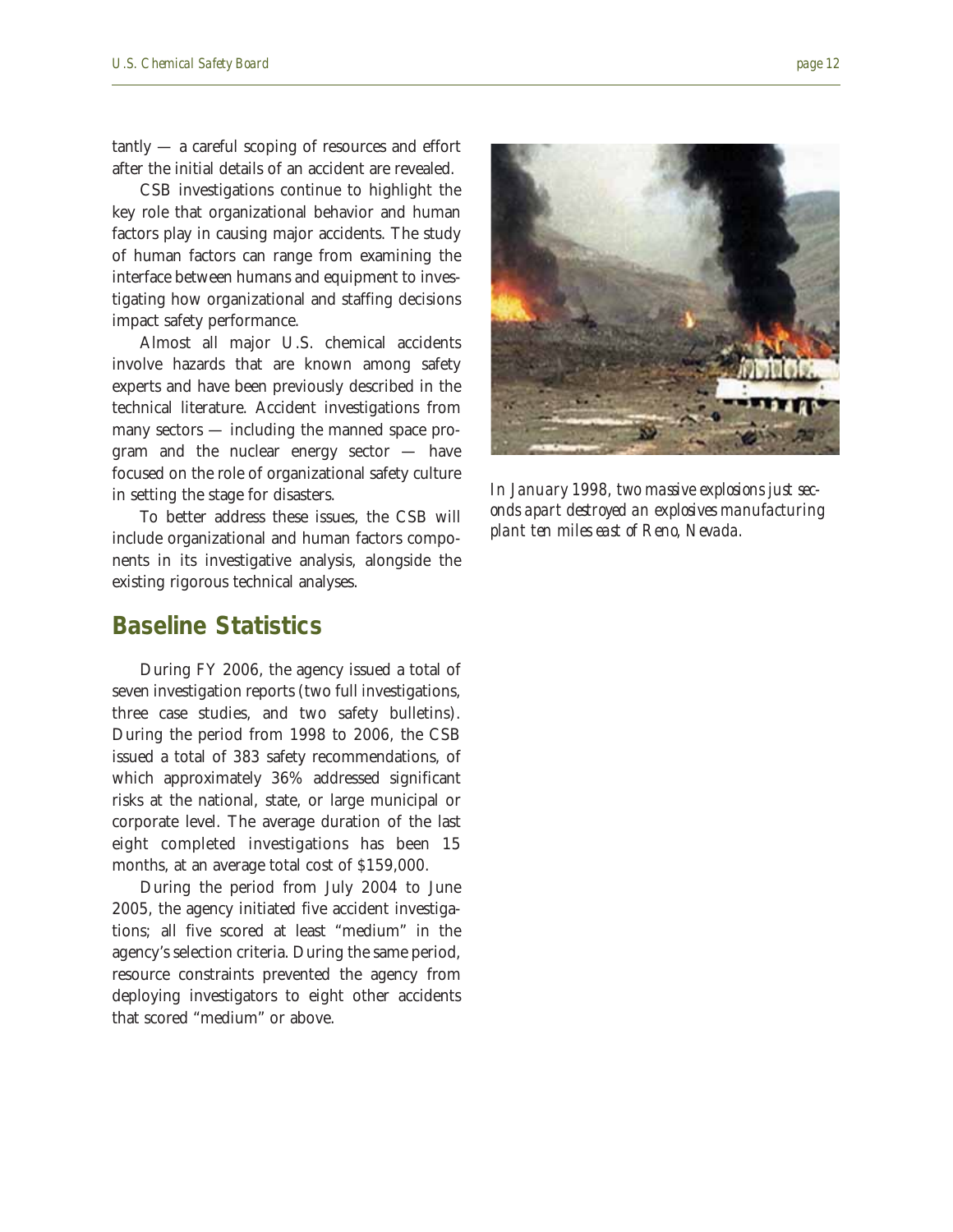tantly — a careful scoping of resources and effort after the initial details of an accident are revealed.

CSB investigations continue to highlight the key role that organizational behavior and human factors play in causing major accidents. The study of human factors can range from examining the interface between humans and equipment to investigating how organizational and staffing decisions impact safety performance.

Almost all major U.S. chemical accidents involve hazards that are known among safety experts and have been previously described in the technical literature. Accident investigations from many sectors — including the manned space program and the nuclear energy sector — have focused on the role of organizational safety culture in setting the stage for disasters.

To better address these issues, the CSB will include organizational and human factors components in its investigative analysis, alongside the existing rigorous technical analyses.

#### **Baseline Statistics**

During FY 2006, the agency issued a total of seven investigation reports (two full investigations, three case studies, and two safety bulletins). During the period from 1998 to 2006, the CSB issued a total of 383 safety recommendations, of which approximately 36% addressed significant risks at the national, state, or large municipal or corporate level. The average duration of the last eight completed investigations has been 15 months, at an average total cost of \$159,000.

During the period from July 2004 to June 2005, the agency initiated five accident investigations; all five scored at least "medium" in the agency's selection criteria. During the same period, resource constraints prevented the agency from deploying investigators to eight other accidents that scored "medium" or above.

*In January 1998, two massive explosions just seconds apart destroyed an explosives manufacturing*

*plant ten miles east of Reno, Nevada.*

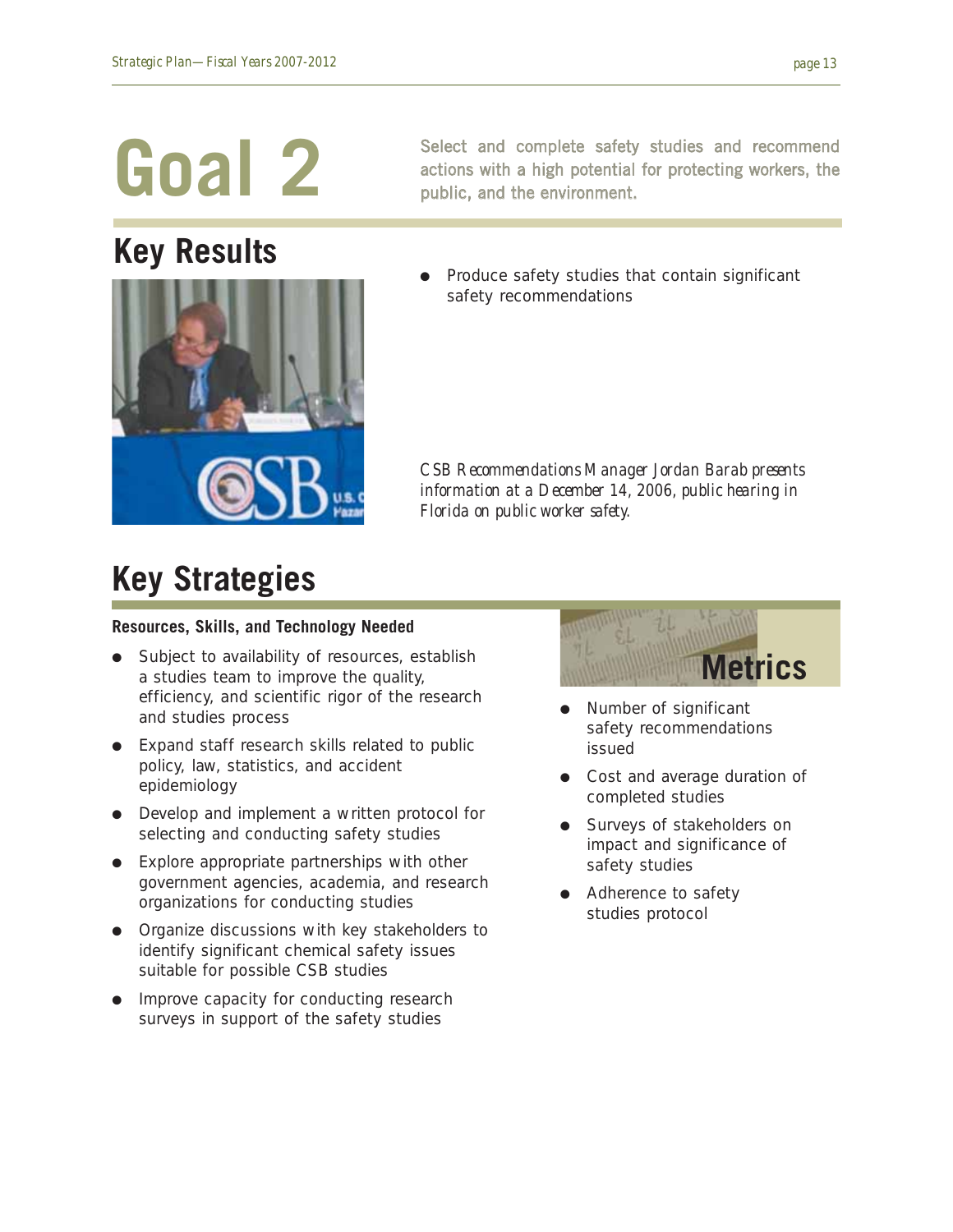## **Key Results**

Select and complete safety studies and recommend actions with a high potential for protecting workers, the public, and the environment.

Produce safety studies that contain significant safety recommendations

*CSB Recommendations Manager Jordan Barab presents information at a December 14, 2006, public hearing in Florida on public worker safety.*

### **Key Strategies**

#### **Resources, Skills, and Technology Needed**

- Subject to availability of resources, establish a studies team to improve the quality, efficiency, and scientific rigor of the research and studies process
- Expand staff research skills related to public policy, law, statistics, and accident epidemiology
- Develop and implement a written protocol for selecting and conducting safety studies
- Explore appropriate partnerships with other government agencies, academia, and research organizations for conducting studies
- Organize discussions with key stakeholders to identify significant chemical safety issues suitable for possible CSB studies
- Improve capacity for conducting research surveys in support of the safety studies



- Number of significant safety recommendations issued
- Cost and average duration of completed studies
- Surveys of stakeholders on impact and significance of safety studies
- Adherence to safety studies protocol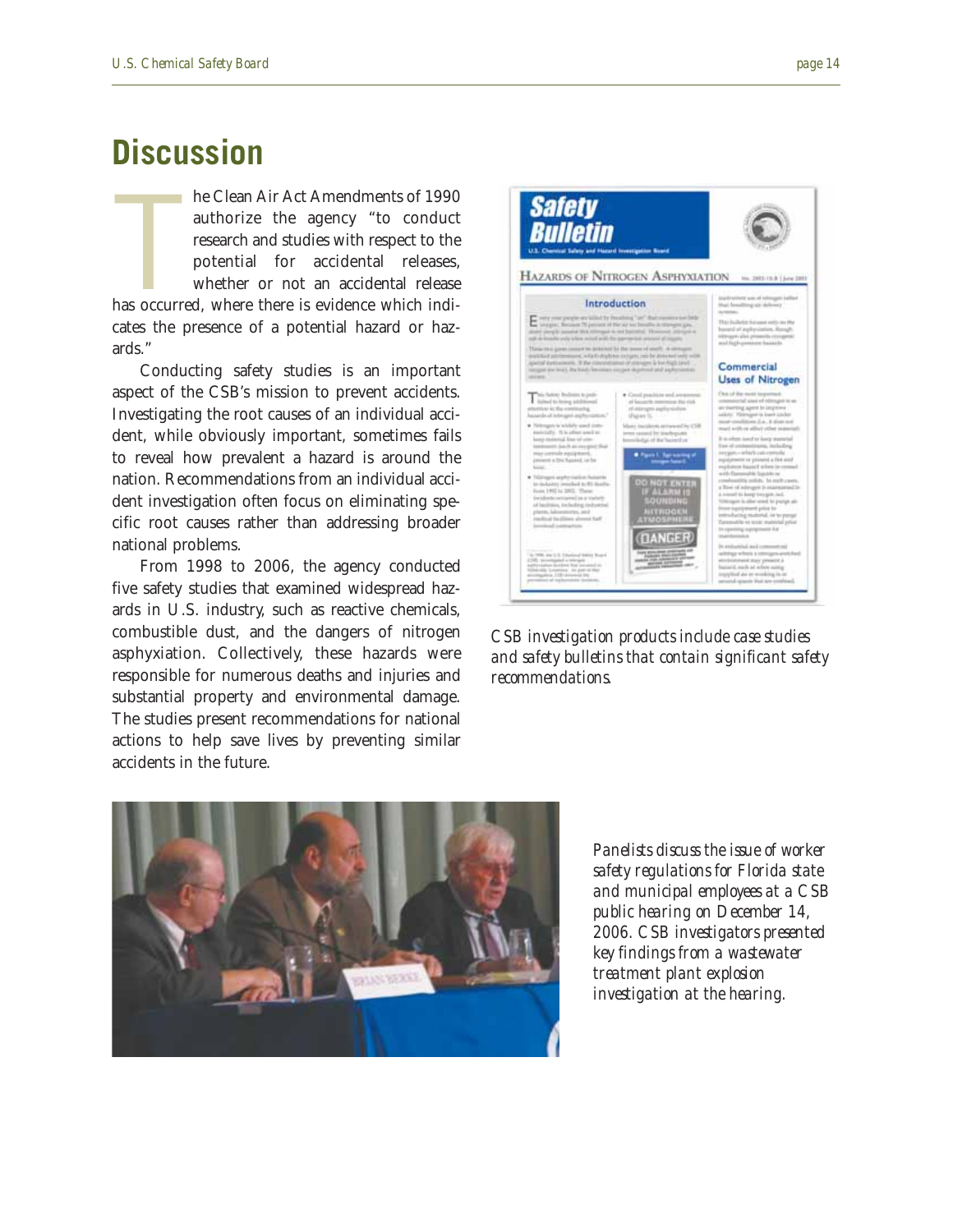### **Discussion**

**The Second Second**<br>Thas occurr he Clean Air Act Amendments of 1990 authorize the agency "to conduct research and studies with respect to the potential for accidental releases, whether or not an accidental release has occurred, where there is evidence which indicates the presence of a potential hazard or hazards."

Conducting safety studies is an important aspect of the CSB's mission to prevent accidents. Investigating the root causes of an individual accident, while obviously important, sometimes fails to reveal how prevalent a hazard is around the nation. Recommendations from an individual accident investigation often focus on eliminating specific root causes rather than addressing broader national problems.

From 1998 to 2006, the agency conducted five safety studies that examined widespread hazards in U.S. industry, such as reactive chemicals, combustible dust, and the dangers of nitrogen asphyxiation. Collectively, these hazards were responsible for numerous deaths and injuries and substantial property and environmental damage. The studies present recommendations for national actions to help save lives by preventing similar accidents in the future.



*CSB investigation products include case studies and safety bulletins that contain significant safety recommendations.*



*Panelists discuss the issue of worker safety regulations for Florida state and municipal employees at a CSB public hearing on December 14, 2006. CSB investigators presented key findings from a wastewater treatment plant explosion investigation at the hearing.*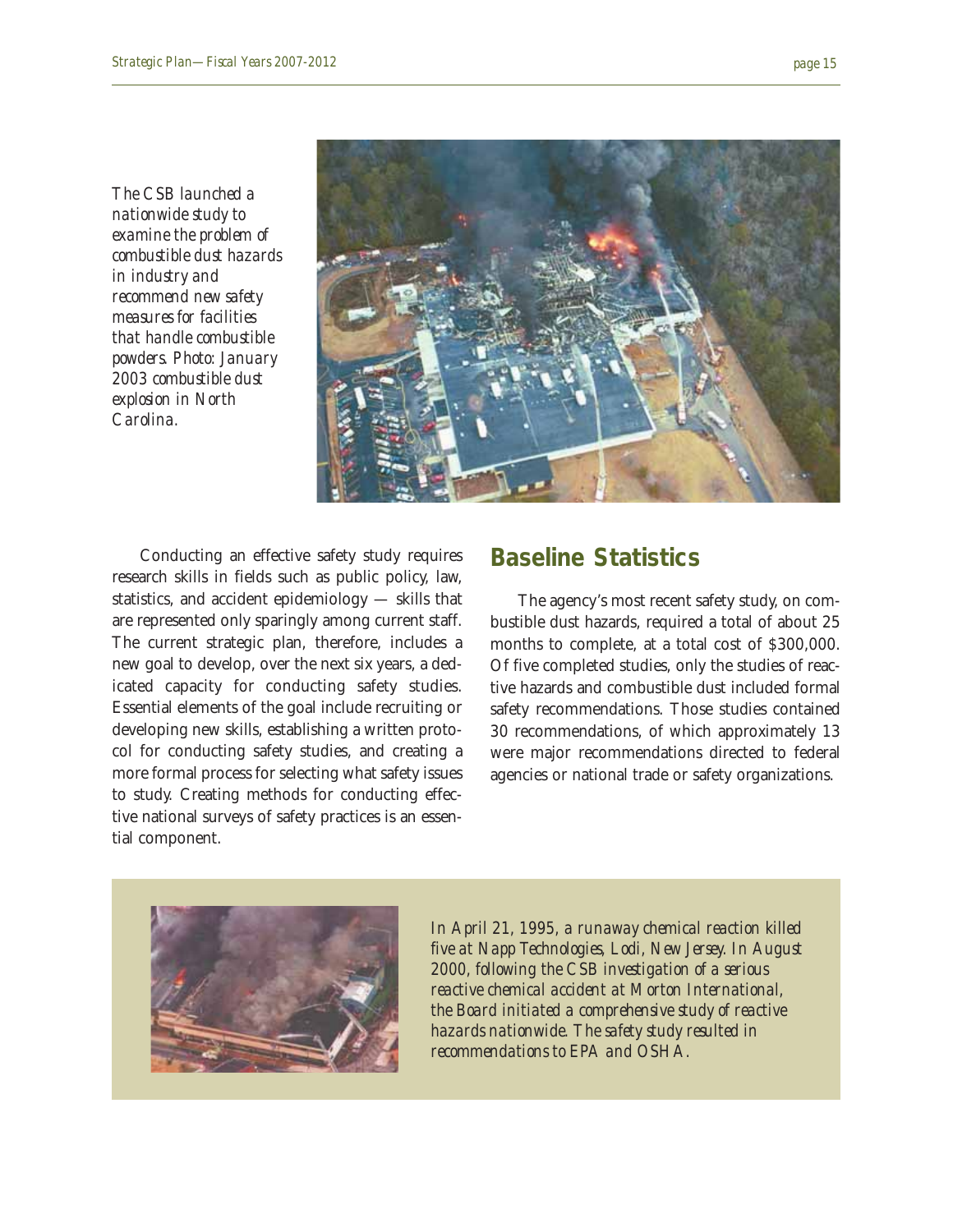*The CSB launched a nationwide study to examine the problem of combustible dust hazards in industry and recommend new safety measures for facilities that handle combustible powders. Photo: January 2003 combustible dust explosion in North Carolina.*



Conducting an effective safety study requires research skills in fields such as public policy, law, statistics, and accident epidemiology — skills that are represented only sparingly among current staff. The current strategic plan, therefore, includes a new goal to develop, over the next six years, a dedicated capacity for conducting safety studies. Essential elements of the goal include recruiting or developing new skills, establishing a written protocol for conducting safety studies, and creating a more formal process for selecting what safety issues to study. Creating methods for conducting effective national surveys of safety practices is an essential component.

#### **Baseline Statistics**

The agency's most recent safety study, on combustible dust hazards, required a total of about 25 months to complete, at a total cost of \$300,000. Of five completed studies, only the studies of reactive hazards and combustible dust included formal safety recommendations. Those studies contained 30 recommendations, of which approximately 13 were major recommendations directed to federal agencies or national trade or safety organizations.



*In April 21, 1995, a runaway chemical reaction killed five at Napp Technologies, Lodi, New Jersey. In August 2000, following the CSB investigation of a serious reactive chemical accident at Morton International, the Board initiated a comprehensive study of reactive hazards nationwide. The safety study resulted in recommendations to EPA and OSHA.*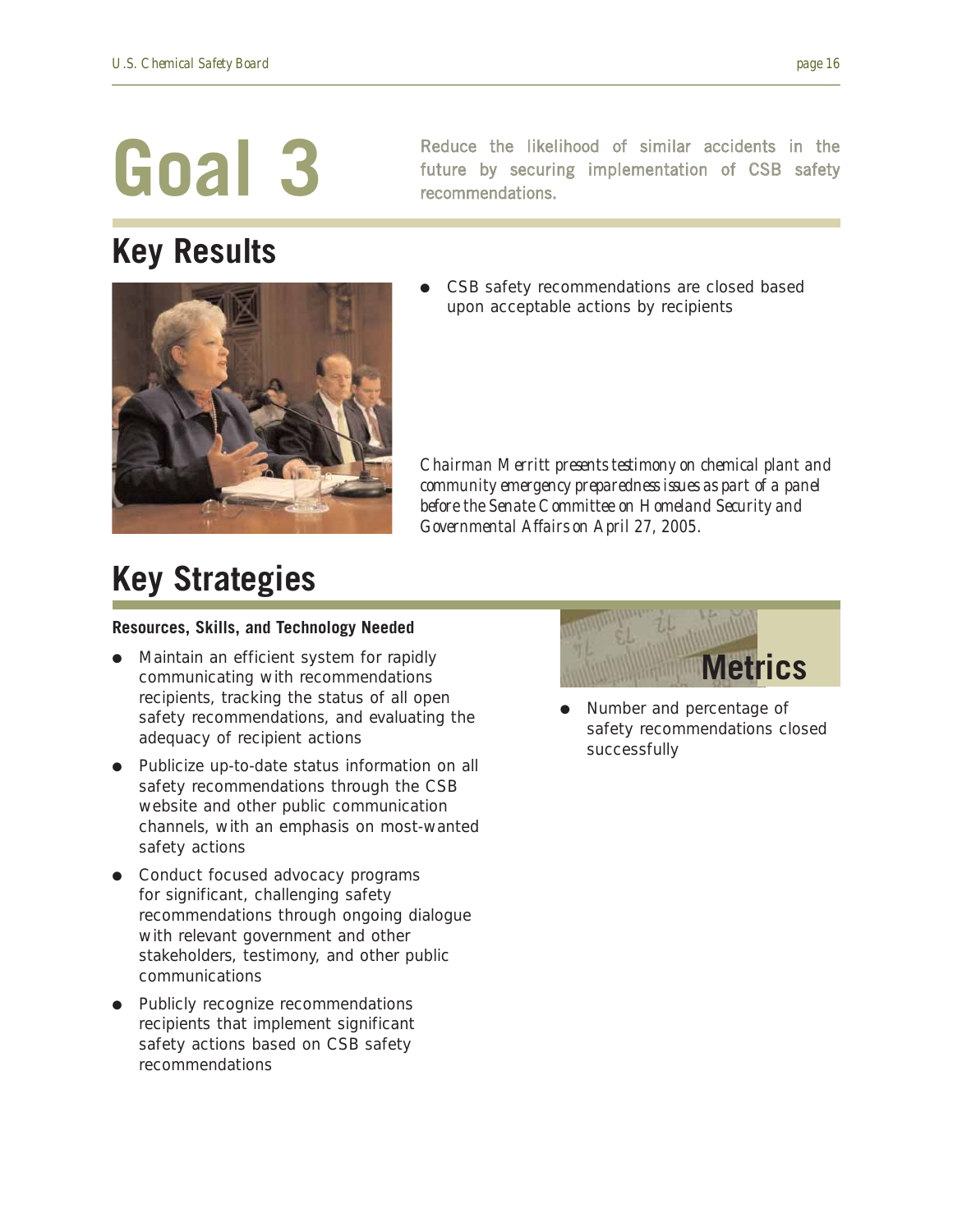## **Key Results**

Reduce the likelihood of similar accidents in the future by securing implementation of CSB safety recommendations.



CSB safety recommendations are closed based upon acceptable actions by recipients

*Chairman Merritt presents testimony on chemical plant and community emergency preparedness issues as part of a panel before the Senate Committee on Homeland Security and Governmental Affairs on April 27, 2005.*

### **Key Strategies**

#### **Resources, Skills, and Technology Needed**

- Maintain an efficient system for rapidly communicating with recommendations recipients, tracking the status of all open safety recommendations, and evaluating the adequacy of recipient actions
- Publicize up-to-date status information on all safety recommendations through the CSB website and other public communication channels, with an emphasis on most-wanted safety actions
- Conduct focused advocacy programs for significant, challenging safety recommendations through ongoing dialogue with relevant government and other stakeholders, testimony, and other public communications
- Publicly recognize recommendations recipients that implement significant safety actions based on CSB safety recommendations



Number and percentage of safety recommendations closed successfully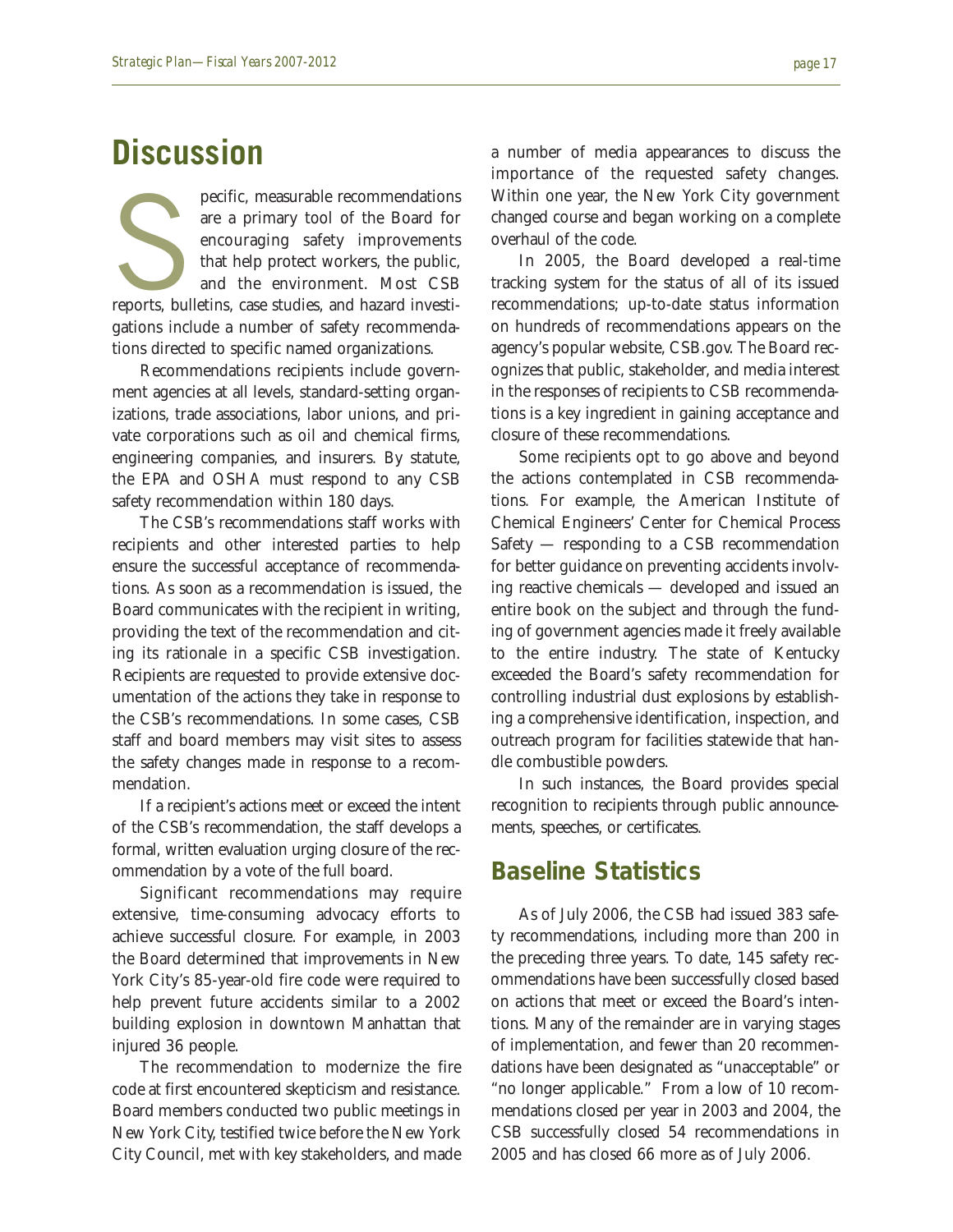pecific, measurable recommendations<br>are a primary tool of the Board for<br>encouraging safety improvements<br>that help protect workers, the public,<br>and the environment. Most CSB<br>reports, bulletins, case studies, and hazard inve are a primary tool of the Board for encouraging safety improvements that help protect workers, the public, and the environment. Most CSB gations include a number of safety recommendations directed to specific named organizations.

Recommendations recipients include government agencies at all levels, standard-setting organizations, trade associations, labor unions, and private corporations such as oil and chemical firms, engineering companies, and insurers. By statute, the EPA and OSHA must respond to any CSB safety recommendation within 180 days.

The CSB's recommendations staff works with recipients and other interested parties to help ensure the successful acceptance of recommendations. As soon as a recommendation is issued, the Board communicates with the recipient in writing, providing the text of the recommendation and citing its rationale in a specific CSB investigation. Recipients are requested to provide extensive documentation of the actions they take in response to the CSB's recommendations. In some cases, CSB staff and board members may visit sites to assess the safety changes made in response to a recommendation.

If a recipient's actions meet or exceed the intent of the CSB's recommendation, the staff develops a formal, written evaluation urging closure of the recommendation by a vote of the full board.

Significant recommendations may require extensive, time-consuming advocacy efforts to achieve successful closure. For example, in 2003 the Board determined that improvements in New York City's 85-year-old fire code were required to help prevent future accidents similar to a 2002 building explosion in downtown Manhattan that injured 36 people.

The recommendation to modernize the fire code at first encountered skepticism and resistance. Board members conducted two public meetings in New York City, testified twice before the New York City Council, met with key stakeholders, and made a number of media appearances to discuss the importance of the requested safety changes. Within one year, the New York City government changed course and began working on a complete overhaul of the code.

In 2005, the Board developed a real-time tracking system for the status of all of its issued recommendations; up-to-date status information on hundreds of recommendations appears on the agency's popular website, CSB.gov. The Board recognizes that public, stakeholder, and media interest in the responses of recipients to CSB recommendations is a key ingredient in gaining acceptance and closure of these recommendations.

Some recipients opt to go above and beyond the actions contemplated in CSB recommendations. For example, the American Institute of Chemical Engineers' Center for Chemical Process Safety — responding to a CSB recommendation for better guidance on preventing accidents involving reactive chemicals — developed and issued an entire book on the subject and through the funding of government agencies made it freely available to the entire industry. The state of Kentucky exceeded the Board's safety recommendation for controlling industrial dust explosions by establishing a comprehensive identification, inspection, and outreach program for facilities statewide that handle combustible powders.

In such instances, the Board provides special recognition to recipients through public announcements, speeches, or certificates.

#### **Baseline Statistics**

As of July 2006, the CSB had issued 383 safety recommendations, including more than 200 in the preceding three years. To date, 145 safety recommendations have been successfully closed based on actions that meet or exceed the Board's intentions. Many of the remainder are in varying stages of implementation, and fewer than 20 recommendations have been designated as "unacceptable" or "no longer applicable." From a low of 10 recommendations closed per year in 2003 and 2004, the CSB successfully closed 54 recommendations in 2005 and has closed 66 more as of July 2006.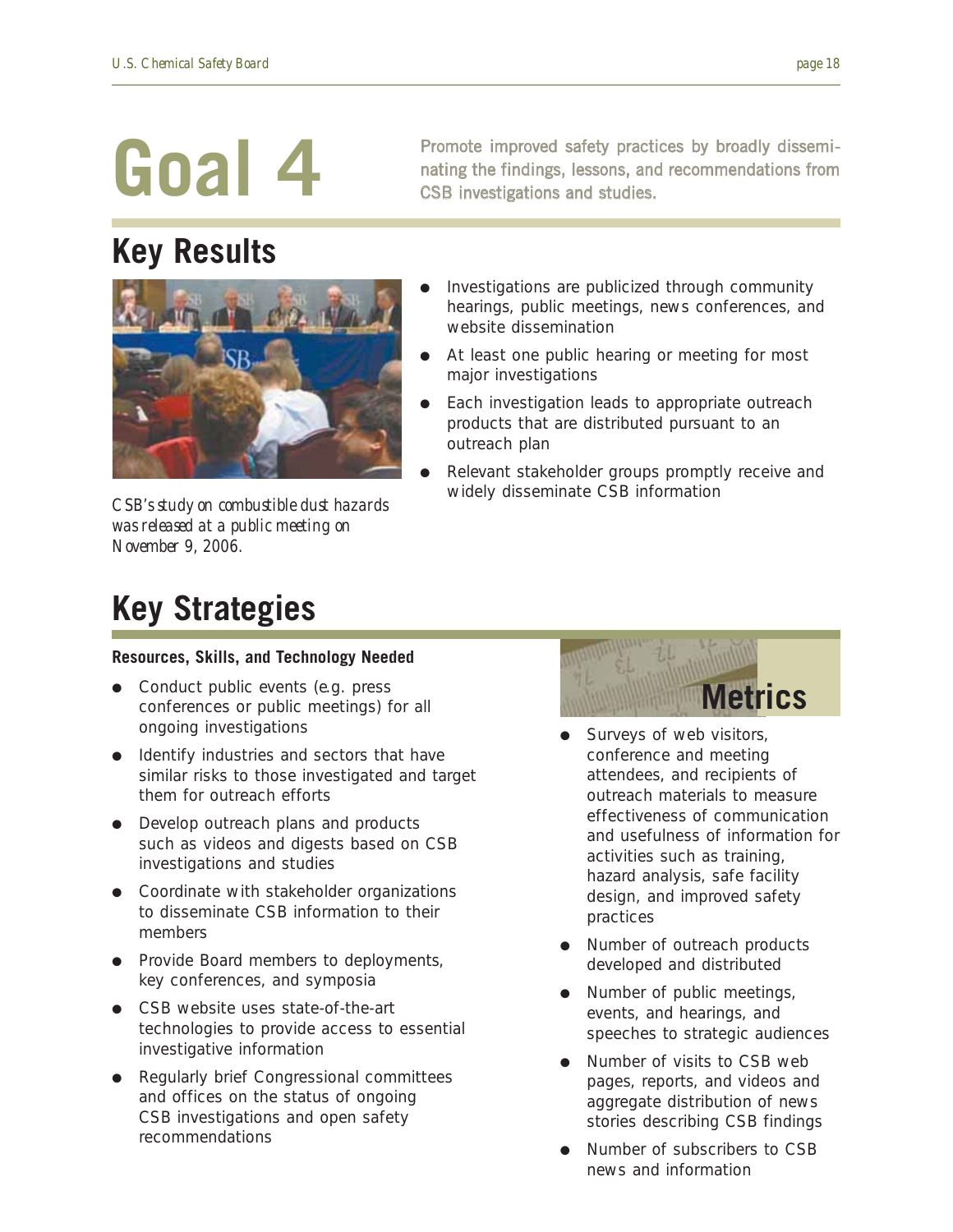## **Key Results**



*CSB's study on combustible dust hazards was released at a public meeting on November 9, 2006.* 

Promote improved safety practices by broadly disseminating the findings, lessons, and recommendations from CSB investigations and studies.

- Investigations are publicized through community hearings, public meetings, news conferences, and website dissemination
- At least one public hearing or meeting for most major investigations
- Each investigation leads to appropriate outreach products that are distributed pursuant to an outreach plan
- Relevant stakeholder groups promptly receive and widely disseminate CSB information

## **Key Strategies**

#### **Resources, Skills, and Technology Needed**

- Conduct public events (e.g. press conferences or public meetings) for all ongoing investigations
- Identify industries and sectors that have similar risks to those investigated and target them for outreach efforts
- Develop outreach plans and products such as videos and digests based on CSB investigations and studies
- Coordinate with stakeholder organizations to disseminate CSB information to their members
- Provide Board members to deployments, key conferences, and symposia
- CSB website uses state-of-the-art technologies to provide access to essential investigative information
- Regularly brief Congressional committees and offices on the status of ongoing CSB investigations and open safety recommendations



- Surveys of web visitors, conference and meeting attendees, and recipients of outreach materials to measure effectiveness of communication and usefulness of information for activities such as training, hazard analysis, safe facility design, and improved safety practices
- Number of outreach products developed and distributed
- Number of public meetings, events, and hearings, and speeches to strategic audiences
- Number of visits to CSB web pages, reports, and videos and aggregate distribution of news stories describing CSB findings
- Number of subscribers to CSB news and information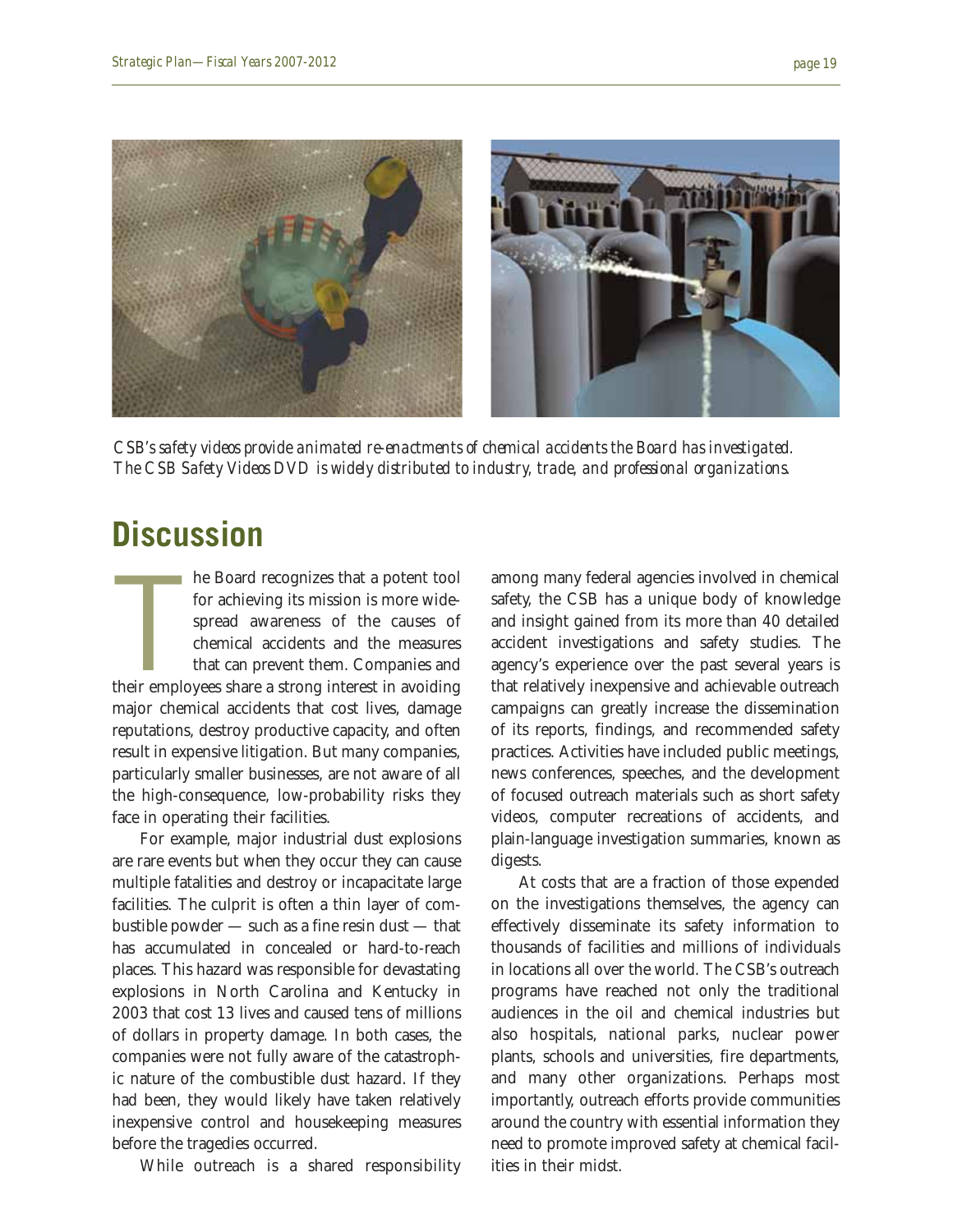

*CSB's safety videos provide animated re-enactments of chemical accidents the Board has investigated. The CSB Safety Videos DVD is widely distributed to industry, trade, and professional organizations.*

### **Discussion**

he Board recognizes that a potent tool<br>for achieving its mission is more wide-<br>spread awareness of the causes of<br>chemical accidents and the measures<br>that can prevent them. Companies and<br>their employees share a strong inter he Board recognizes that a potent tool for achieving its mission is more widespread awareness of the causes of chemical accidents and the measures that can prevent them. Companies and major chemical accidents that cost lives, damage reputations, destroy productive capacity, and often result in expensive litigation. But many companies, particularly smaller businesses, are not aware of all the high-consequence, low-probability risks they face in operating their facilities.

For example, major industrial dust explosions are rare events but when they occur they can cause multiple fatalities and destroy or incapacitate large facilities. The culprit is often a thin layer of combustible powder — such as a fine resin dust — that has accumulated in concealed or hard-to-reach places. This hazard was responsible for devastating explosions in North Carolina and Kentucky in 2003 that cost 13 lives and caused tens of millions of dollars in property damage. In both cases, the companies were not fully aware of the catastrophic nature of the combustible dust hazard. If they had been, they would likely have taken relatively inexpensive control and housekeeping measures before the tragedies occurred.

While outreach is a shared responsibility

among many federal agencies involved in chemical safety, the CSB has a unique body of knowledge and insight gained from its more than 40 detailed accident investigations and safety studies. The agency's experience over the past several years is that relatively inexpensive and achievable outreach campaigns can greatly increase the dissemination of its reports, findings, and recommended safety practices. Activities have included public meetings, news conferences, speeches, and the development of focused outreach materials such as short safety videos, computer recreations of accidents, and plain-language investigation summaries, known as digests.

At costs that are a fraction of those expended on the investigations themselves, the agency can effectively disseminate its safety information to thousands of facilities and millions of individuals in locations all over the world. The CSB's outreach programs have reached not only the traditional audiences in the oil and chemical industries but also hospitals, national parks, nuclear power plants, schools and universities, fire departments, and many other organizations. Perhaps most importantly, outreach efforts provide communities around the country with essential information they need to promote improved safety at chemical facilities in their midst.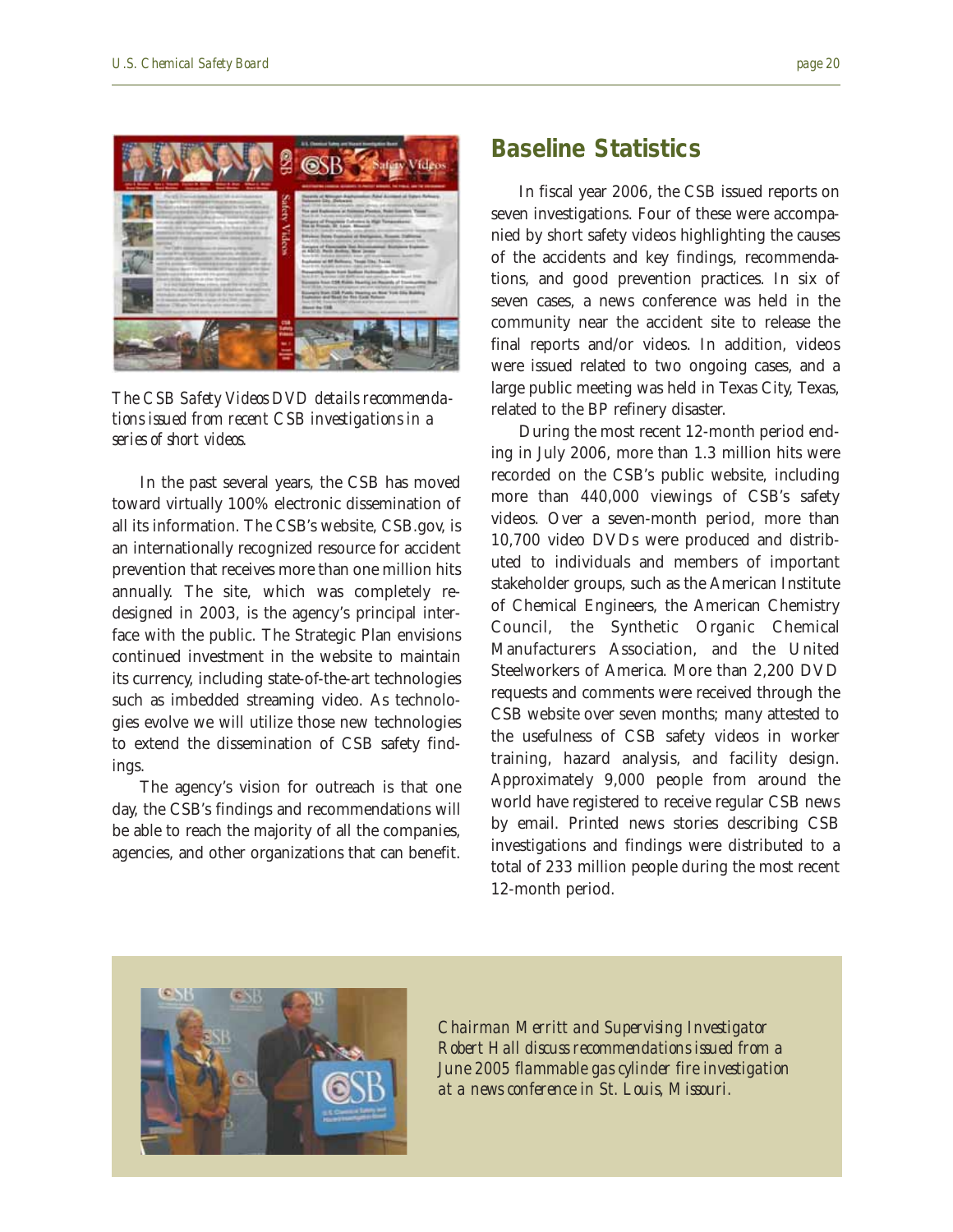

*The CSB Safety Videos DVD details recommendations issued from recent CSB investigations in a series of short videos.*

In the past several years, the CSB has moved toward virtually 100% electronic dissemination of all its information. The CSB's website, CSB.gov, is an internationally recognized resource for accident prevention that receives more than one million hits annually. The site, which was completely redesigned in 2003, is the agency's principal interface with the public. The Strategic Plan envisions continued investment in the website to maintain its currency, including state-of-the-art technologies such as imbedded streaming video. As technologies evolve we will utilize those new technologies to extend the dissemination of CSB safety findings.

The agency's vision for outreach is that one day, the CSB's findings and recommendations will be able to reach the majority of all the companies, agencies, and other organizations that can benefit.

#### **Baseline Statistics**

In fiscal year 2006, the CSB issued reports on seven investigations. Four of these were accompanied by short safety videos highlighting the causes of the accidents and key findings, recommendations, and good prevention practices. In six of seven cases, a news conference was held in the community near the accident site to release the final reports and/or videos. In addition, videos were issued related to two ongoing cases, and a large public meeting was held in Texas City, Texas, related to the BP refinery disaster.

During the most recent 12-month period ending in July 2006, more than 1.3 million hits were recorded on the CSB's public website, including more than 440,000 viewings of CSB's safety videos. Over a seven-month period, more than 10,700 video DVDs were produced and distributed to individuals and members of important stakeholder groups, such as the American Institute of Chemical Engineers, the American Chemistry Council, the Synthetic Organic Chemical Manufacturers Association, and the United Steelworkers of America. More than 2,200 DVD requests and comments were received through the CSB website over seven months; many attested to the usefulness of CSB safety videos in worker training, hazard analysis, and facility design. Approximately 9,000 people from around the world have registered to receive regular CSB news by email. Printed news stories describing CSB investigations and findings were distributed to a total of 233 million people during the most recent 12-month period.



*Chairman Merritt and Supervising Investigator Robert Hall discuss recommendations issued from a June 2005 flammable gas cylinder fire investigation at a news conference in St. Louis, Missouri.*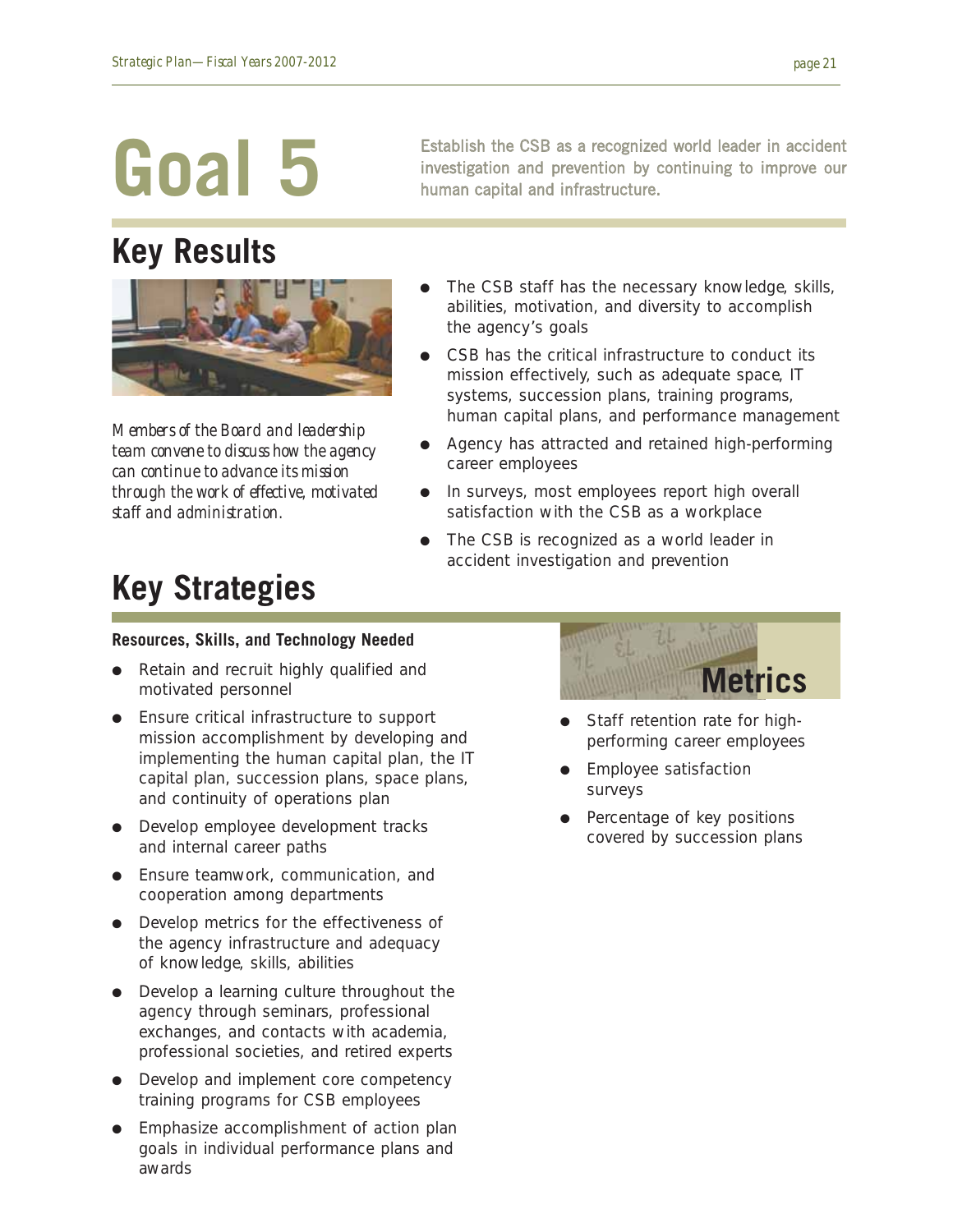### **Key Results**



*Members of the Board and leadership team convene to discuss how the agency can continue to advance its mission through the work of effective, motivated staff and administration.*

Establish the CSB as a recognized world leader in accident investigation and prevention by continuing to improve our human capital and infrastructure.

- The CSB staff has the necessary knowledge, skills, abilities, motivation, and diversity to accomplish the agency's goals
- CSB has the critical infrastructure to conduct its mission effectively, such as adequate space, IT systems, succession plans, training programs, human capital plans, and performance management
- Agency has attracted and retained high-performing career employees
- In surveys, most employees report high overall satisfaction with the CSB as a workplace
- The CSB is recognized as a world leader in accident investigation and prevention

## **Key Strategies**

#### **Resources, Skills, and Technology Needed**

- Retain and recruit highly qualified and motivated personnel
- Ensure critical infrastructure to support mission accomplishment by developing and implementing the human capital plan, the IT capital plan, succession plans, space plans, and continuity of operations plan
- Develop employee development tracks and internal career paths
- Ensure teamwork, communication, and cooperation among departments
- Develop metrics for the effectiveness of the agency infrastructure and adequacy of knowledge, skills, abilities
- Develop a learning culture throughout the agency through seminars, professional exchanges, and contacts with academia, professional societies, and retired experts
- Develop and implement core competency training programs for CSB employees
- Emphasize accomplishment of action plan goals in individual performance plans and awards



- Staff retention rate for highperforming career employees
- **Employee satisfaction** surveys
- Percentage of key positions covered by succession plans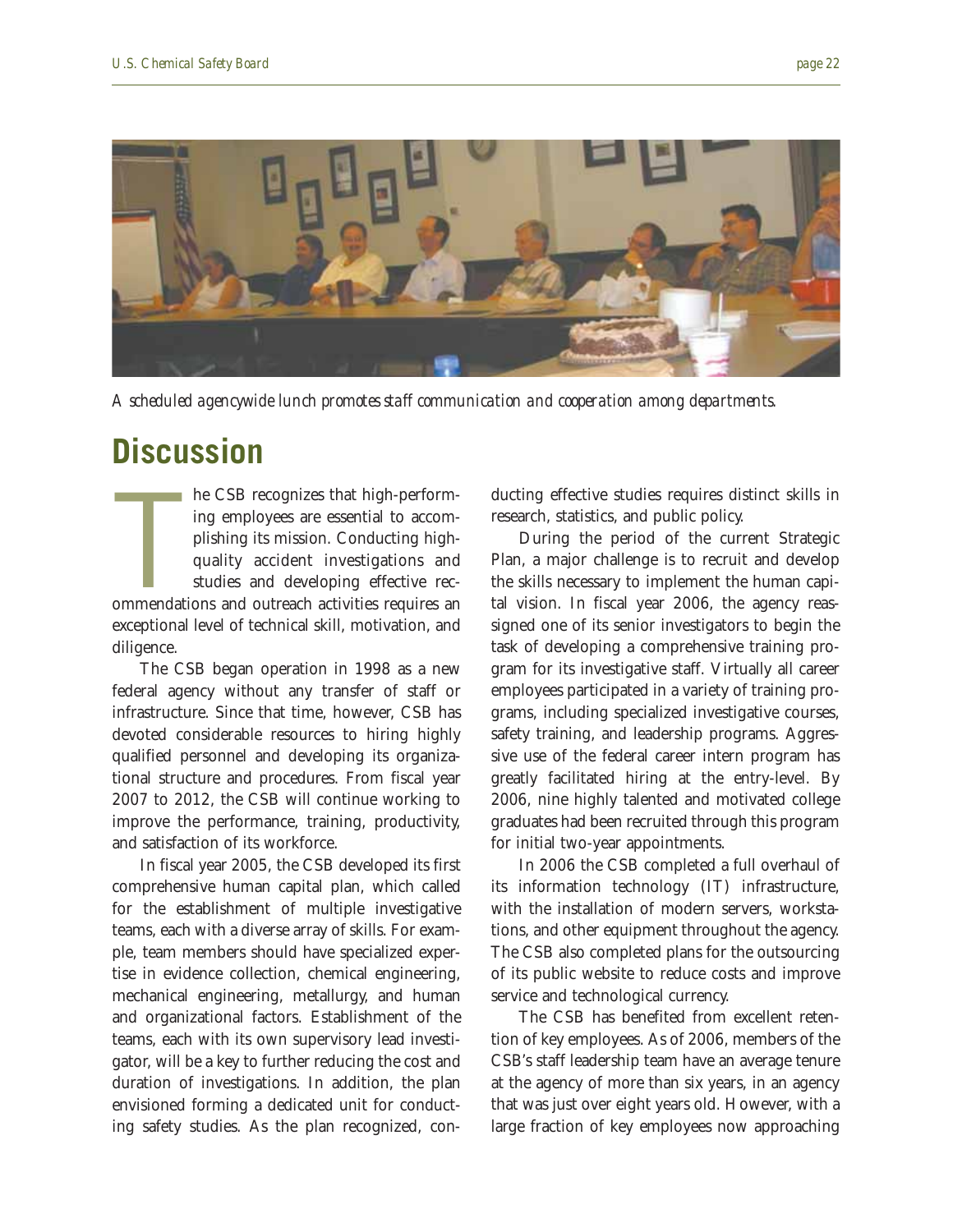

*A scheduled agencywide lunch promotes staff communication and cooperation among departments.*

### **Discussion**

he CSB recognizes that high-perform-<br>ing employees are essential to accom-<br>plishing its mission. Conducting high-<br>quality accident investigations and<br>studies and developing effective rec-<br>ommendations and outreach activiti he CSB recognizes that high-performing employees are essential to accomplishing its mission. Conducting highquality accident investigations and studies and developing effective recexceptional level of technical skill, motivation, and diligence.

The CSB began operation in 1998 as a new federal agency without any transfer of staff or infrastructure. Since that time, however, CSB has devoted considerable resources to hiring highly qualified personnel and developing its organizational structure and procedures. From fiscal year 2007 to 2012, the CSB will continue working to improve the performance, training, productivity, and satisfaction of its workforce.

In fiscal year 2005, the CSB developed its first comprehensive human capital plan, which called for the establishment of multiple investigative teams, each with a diverse array of skills. For example, team members should have specialized expertise in evidence collection, chemical engineering, mechanical engineering, metallurgy, and human and organizational factors. Establishment of the teams, each with its own supervisory lead investigator, will be a key to further reducing the cost and duration of investigations. In addition, the plan envisioned forming a dedicated unit for conducting safety studies. As the plan recognized, conducting effective studies requires distinct skills in research, statistics, and public policy.

During the period of the current Strategic Plan, a major challenge is to recruit and develop the skills necessary to implement the human capital vision. In fiscal year 2006, the agency reassigned one of its senior investigators to begin the task of developing a comprehensive training program for its investigative staff. Virtually all career employees participated in a variety of training programs, including specialized investigative courses, safety training, and leadership programs. Aggressive use of the federal career intern program has greatly facilitated hiring at the entry-level. By 2006, nine highly talented and motivated college graduates had been recruited through this program for initial two-year appointments.

In 2006 the CSB completed a full overhaul of its information technology (IT) infrastructure, with the installation of modern servers, workstations, and other equipment throughout the agency. The CSB also completed plans for the outsourcing of its public website to reduce costs and improve service and technological currency.

The CSB has benefited from excellent retention of key employees. As of 2006, members of the CSB's staff leadership team have an average tenure at the agency of more than six years, in an agency that was just over eight years old. However, with a large fraction of key employees now approaching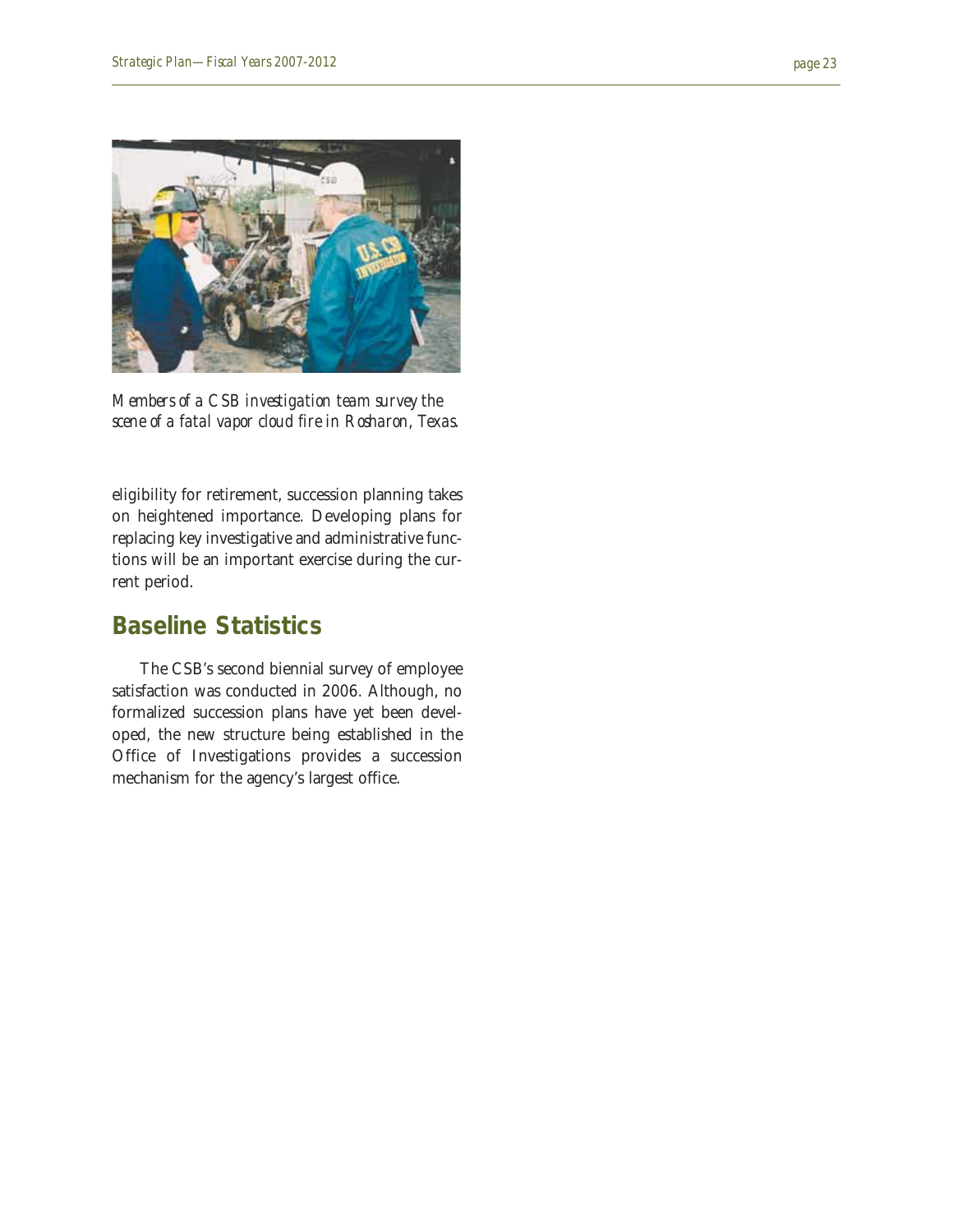

*Members of a CSB investigation team survey the scene of a fatal vapor cloud fire in Rosharon, Texas.*

eligibility for retirement, succession planning takes on heightened importance. Developing plans for replacing key investigative and administrative functions will be an important exercise during the current period.

#### **Baseline Statistics**

The CSB's second biennial survey of employee satisfaction was conducted in 2006. Although, no formalized succession plans have yet been developed, the new structure being established in the Office of Investigations provides a succession mechanism for the agency's largest office.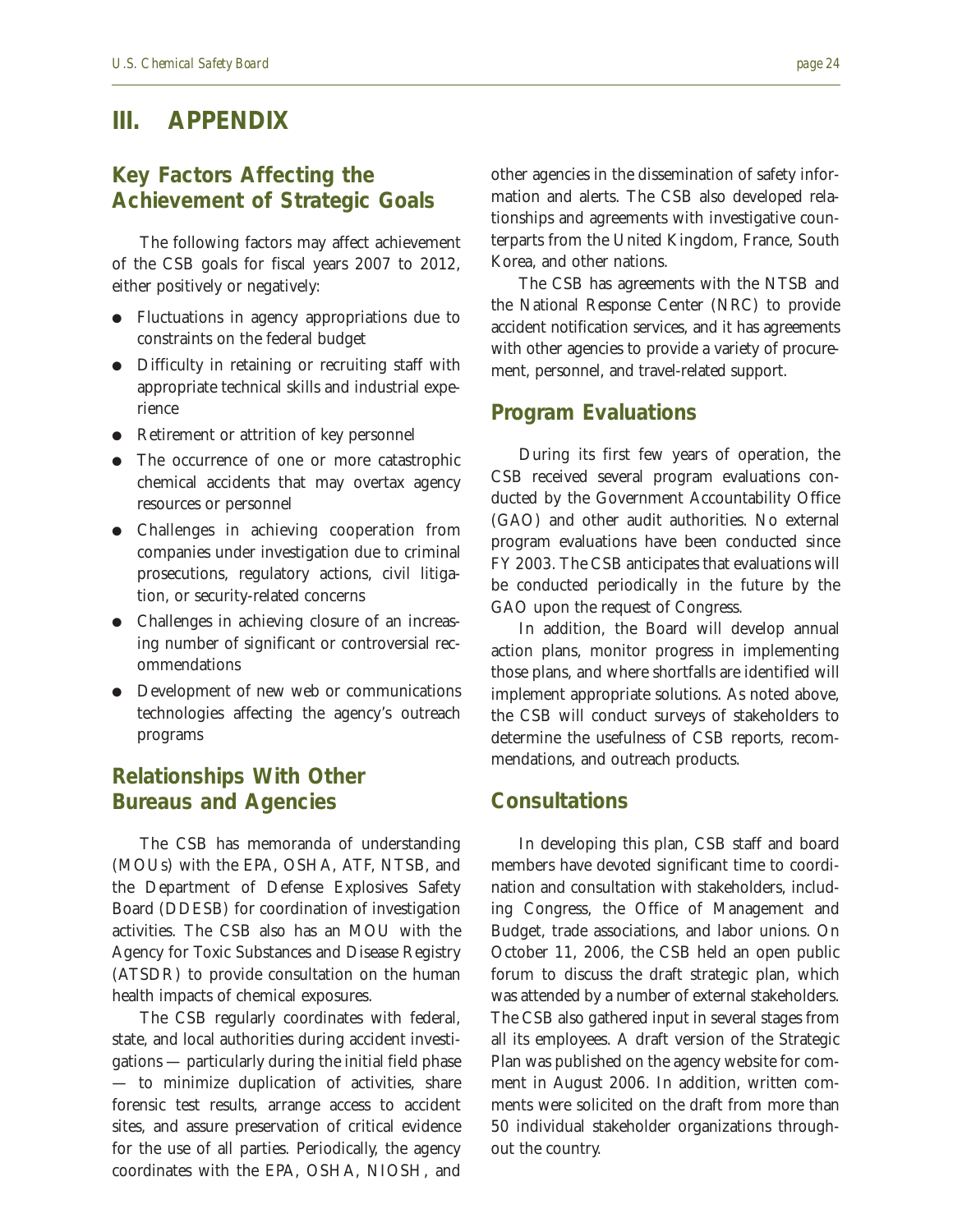#### **III. APPENDIX**

#### **Key Factors Affecting the Achievement of Strategic Goals**

The following factors may affect achievement of the CSB goals for fiscal years 2007 to 2012, either positively or negatively:

- Fluctuations in agency appropriations due to constraints on the federal budget
- Difficulty in retaining or recruiting staff with appropriate technical skills and industrial experience
- Retirement or attrition of key personnel
- The occurrence of one or more catastrophic chemical accidents that may overtax agency resources or personnel
- Challenges in achieving cooperation from companies under investigation due to criminal prosecutions, regulatory actions, civil litigation, or security-related concerns
- Challenges in achieving closure of an increasing number of significant or controversial recommendations
- Development of new web or communications technologies affecting the agency's outreach programs

#### **Relationships With Other Bureaus and Agencies**

The CSB has memoranda of understanding (MOUs) with the EPA, OSHA, ATF, NTSB, and the Department of Defense Explosives Safety Board (DDESB) for coordination of investigation activities. The CSB also has an MOU with the Agency for Toxic Substances and Disease Registry (ATSDR) to provide consultation on the human health impacts of chemical exposures.

The CSB regularly coordinates with federal, state, and local authorities during accident investigations — particularly during the initial field phase — to minimize duplication of activities, share forensic test results, arrange access to accident sites, and assure preservation of critical evidence for the use of all parties. Periodically, the agency coordinates with the EPA, OSHA, NIOSH, and other agencies in the dissemination of safety information and alerts. The CSB also developed relationships and agreements with investigative counterparts from the United Kingdom, France, South Korea, and other nations.

The CSB has agreements with the NTSB and the National Response Center (NRC) to provide accident notification services, and it has agreements with other agencies to provide a variety of procurement, personnel, and travel-related support.

#### **Program Evaluations**

During its first few years of operation, the CSB received several program evaluations conducted by the Government Accountability Office (GAO) and other audit authorities. No external program evaluations have been conducted since FY 2003. The CSB anticipates that evaluations will be conducted periodically in the future by the GAO upon the request of Congress.

In addition, the Board will develop annual action plans, monitor progress in implementing those plans, and where shortfalls are identified will implement appropriate solutions. As noted above, the CSB will conduct surveys of stakeholders to determine the usefulness of CSB reports, recommendations, and outreach products.

#### **Consultations**

In developing this plan, CSB staff and board members have devoted significant time to coordination and consultation with stakeholders, including Congress, the Office of Management and Budget, trade associations, and labor unions. On October 11, 2006, the CSB held an open public forum to discuss the draft strategic plan, which was attended by a number of external stakeholders. The CSB also gathered input in several stages from all its employees. A draft version of the Strategic Plan was published on the agency website for comment in August 2006. In addition, written comments were solicited on the draft from more than 50 individual stakeholder organizations throughout the country.